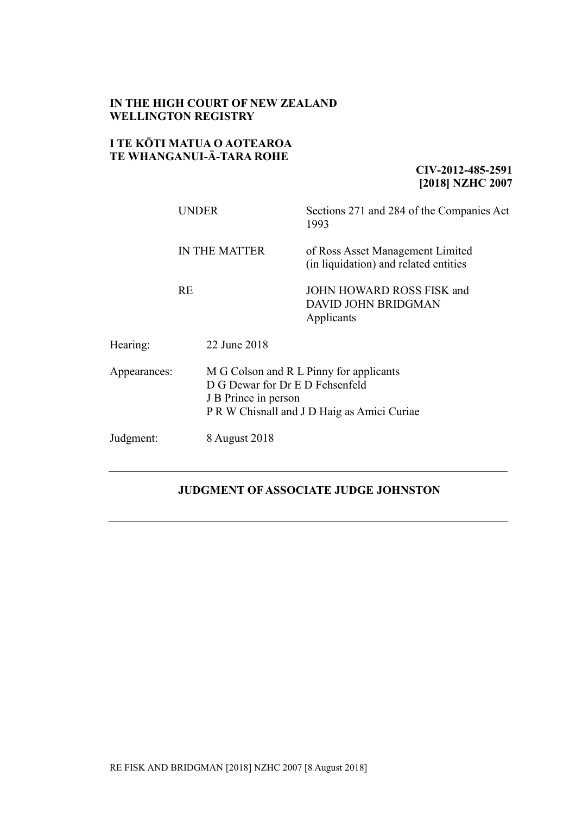## **IN THE HIGH COURT OF NEW ZEALAND WELLINGTON REGISTRY**

## **I TE KŌTI MATUA O AOTEAROA TE WHANGANUI-Ā-TARA ROHE**

## **CIV-2012-485-2591 [2018] NZHC 2007**

|              | <b>UNDER</b>         |                                                                                                                                                   | Sections 271 and 284 of the Companies Act<br>1993                         |  |
|--------------|----------------------|---------------------------------------------------------------------------------------------------------------------------------------------------|---------------------------------------------------------------------------|--|
|              | <b>IN THE MATTER</b> |                                                                                                                                                   | of Ross Asset Management Limited<br>(in liquidation) and related entities |  |
|              | <b>RE</b>            |                                                                                                                                                   | JOHN HOWARD ROSS FISK and<br><b>DAVID JOHN BRIDGMAN</b><br>Applicants     |  |
| Hearing:     |                      | 22 June 2018                                                                                                                                      |                                                                           |  |
| Appearances: |                      | M G Colson and R L Pinny for applicants<br>D G Dewar for Dr E D Fehsenfeld<br>J B Prince in person<br>P R W Chisnall and J D Haig as Amici Curiae |                                                                           |  |
| Judgment:    |                      | 8 August 2018                                                                                                                                     |                                                                           |  |

# **JUDGMENT OFASSOCIATE JUDGE JOHNSTON**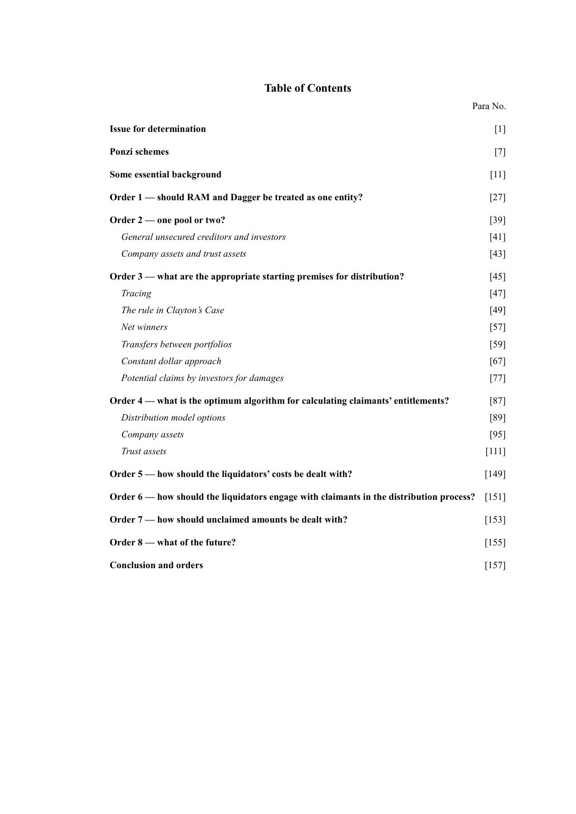## **Table of Contents**

|                                                                                         | Para No. |
|-----------------------------------------------------------------------------------------|----------|
| <b>Issue for determination</b>                                                          | [1]      |
| Ponzi schemes                                                                           | $[7]$    |
| Some essential background                                                               | $[11]$   |
| Order 1 - should RAM and Dagger be treated as one entity?                               | $[27]$   |
| Order 2 — one pool or two?                                                              | $[39]$   |
| General unsecured creditors and investors                                               | [41]     |
| Company assets and trust assets                                                         | [43]     |
| Order 3 — what are the appropriate starting premises for distribution?                  | [45]     |
| Tracing                                                                                 | $[47]$   |
| The rule in Clayton's Case                                                              | $[49]$   |
| Net winners                                                                             | $[57]$   |
| Transfers between portfolios                                                            | $[59]$   |
| Constant dollar approach                                                                | $[67]$   |
| Potential claims by investors for damages                                               | $[77]$   |
| Order 4 — what is the optimum algorithm for calculating claimants' entitlements?        | $[87]$   |
| Distribution model options                                                              | [89]     |
| Company assets                                                                          | $[95]$   |
| Trust assets                                                                            | $[111]$  |
| Order 5 — how should the liquidators' costs be dealt with?                              | $[149]$  |
| Order 6 — how should the liquidators engage with claimants in the distribution process? | [151]    |
| Order 7 - how should unclaimed amounts be dealt with?                                   | [153]    |
| Order 8 — what of the future?                                                           | $[155]$  |
| <b>Conclusion and orders</b>                                                            | $[157]$  |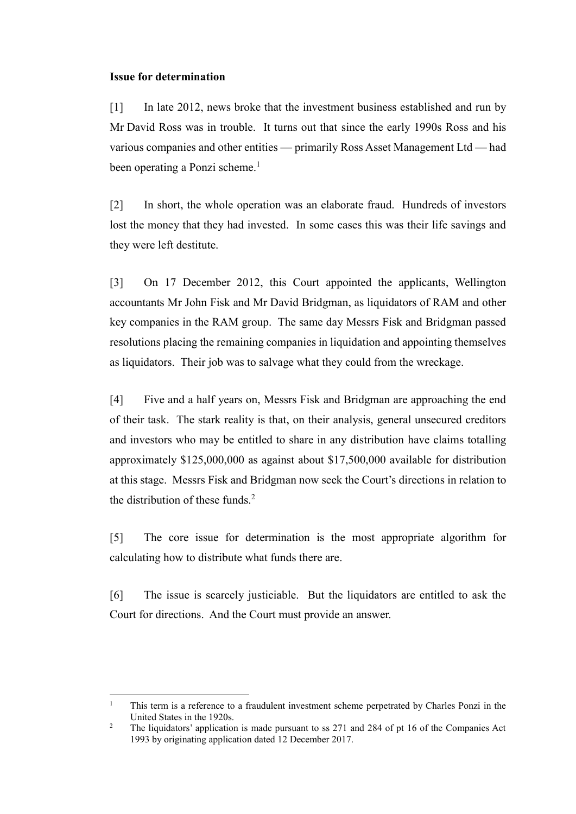#### <span id="page-2-0"></span>**Issue for determination**

 $\overline{a}$ 

[1] In late 2012, news broke that the investment business established and run by Mr David Ross was in trouble. It turns out that since the early 1990s Ross and his various companies and other entities — primarily Ross Asset Management Ltd — had been operating a Ponzi scheme. 1

[2] In short, the whole operation was an elaborate fraud. Hundreds of investors lost the money that they had invested. In some cases this was their life savings and they were left destitute.

[3] On 17 December 2012, this Court appointed the applicants, Wellington accountants Mr John Fisk and Mr David Bridgman, as liquidators of RAM and other key companies in the RAM group. The same day Messrs Fisk and Bridgman passed resolutions placing the remaining companies in liquidation and appointing themselves as liquidators. Their job was to salvage what they could from the wreckage.

[4] Five and a half years on, Messrs Fisk and Bridgman are approaching the end of their task. The stark reality is that, on their analysis, general unsecured creditors and investors who may be entitled to share in any distribution have claims totalling approximately \$125,000,000 as against about \$17,500,000 available for distribution at this stage. Messrs Fisk and Bridgman now seek the Court's directions in relation to the distribution of these funds. $<sup>2</sup>$ </sup>

[5] The core issue for determination is the most appropriate algorithm for calculating how to distribute what funds there are.

[6] The issue is scarcely justiciable. But the liquidators are entitled to ask the Court for directions. And the Court must provide an answer.

<sup>&</sup>lt;sup>1</sup> This term is a reference to a fraudulent investment scheme perpetrated by Charles Ponzi in the United States in the 1920s.

<sup>&</sup>lt;sup>2</sup> The liquidators' application is made pursuant to ss 271 and 284 of pt 16 of the Companies Act 1993 by originating application dated 12 December 2017.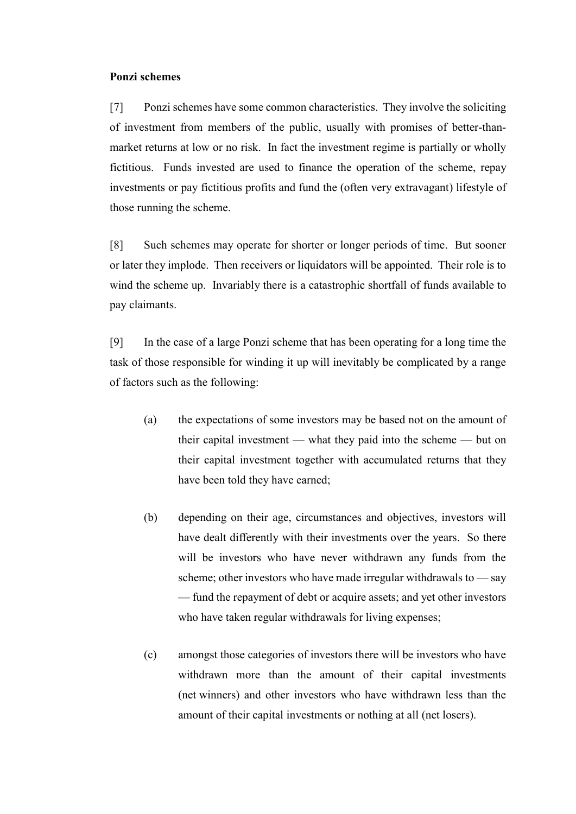#### <span id="page-3-0"></span>**Ponzi schemes**

[7] Ponzi schemes have some common characteristics. They involve the soliciting of investment from members of the public, usually with promises of better-thanmarket returns at low or no risk. In fact the investment regime is partially or wholly fictitious. Funds invested are used to finance the operation of the scheme, repay investments or pay fictitious profits and fund the (often very extravagant) lifestyle of those running the scheme.

[8] Such schemes may operate for shorter or longer periods of time. But sooner or later they implode. Then receivers or liquidators will be appointed. Their role is to wind the scheme up. Invariably there is a catastrophic shortfall of funds available to pay claimants.

[9] In the case of a large Ponzi scheme that has been operating for a long time the task of those responsible for winding it up will inevitably be complicated by a range of factors such as the following:

- (a) the expectations of some investors may be based not on the amount of their capital investment — what they paid into the scheme — but on their capital investment together with accumulated returns that they have been told they have earned;
- (b) depending on their age, circumstances and objectives, investors will have dealt differently with their investments over the years. So there will be investors who have never withdrawn any funds from the scheme; other investors who have made irregular withdrawals to — say — fund the repayment of debt or acquire assets; and yet other investors who have taken regular withdrawals for living expenses;
- (c) amongst those categories of investors there will be investors who have withdrawn more than the amount of their capital investments (net winners) and other investors who have withdrawn less than the amount of their capital investments or nothing at all (net losers).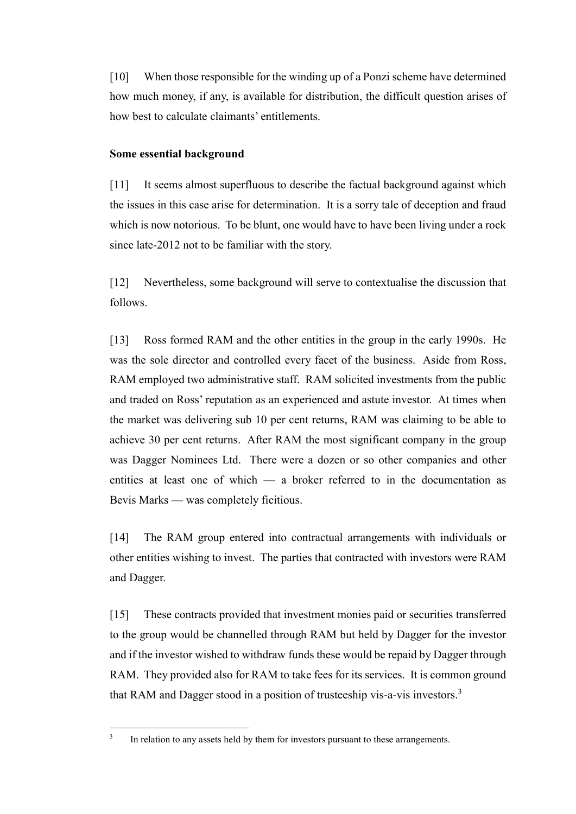[10] When those responsible for the winding up of a Ponzi scheme have determined how much money, if any, is available for distribution, the difficult question arises of how best to calculate claimants' entitlements.

## <span id="page-4-0"></span>**Some essential background**

[11] It seems almost superfluous to describe the factual background against which the issues in this case arise for determination. It is a sorry tale of deception and fraud which is now notorious. To be blunt, one would have to have been living under a rock since late-2012 not to be familiar with the story.

[12] Nevertheless, some background will serve to contextualise the discussion that follows.

[13] Ross formed RAM and the other entities in the group in the early 1990s. He was the sole director and controlled every facet of the business. Aside from Ross, RAM employed two administrative staff. RAM solicited investments from the public and traded on Ross' reputation as an experienced and astute investor. At times when the market was delivering sub 10 per cent returns, RAM was claiming to be able to achieve 30 per cent returns. After RAM the most significant company in the group was Dagger Nominees Ltd. There were a dozen or so other companies and other entities at least one of which — a broker referred to in the documentation as Bevis Marks — was completely ficitious.

[14] The RAM group entered into contractual arrangements with individuals or other entities wishing to invest. The parties that contracted with investors were RAM and Dagger.

[15] These contracts provided that investment monies paid or securities transferred to the group would be channelled through RAM but held by Dagger for the investor and if the investor wished to withdraw funds these would be repaid by Dagger through RAM. They provided also for RAM to take fees for its services. It is common ground that RAM and Dagger stood in a position of trusteeship vis-a-vis investors.<sup>3</sup>

<sup>3</sup> In relation to any assets held by them for investors pursuant to these arrangements.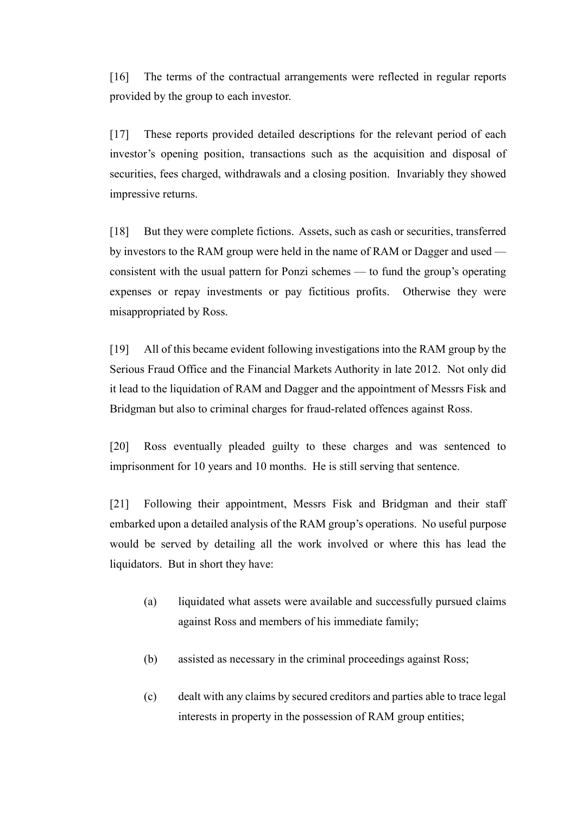[16] The terms of the contractual arrangements were reflected in regular reports provided by the group to each investor.

[17] These reports provided detailed descriptions for the relevant period of each investor's opening position, transactions such as the acquisition and disposal of securities, fees charged, withdrawals and a closing position. Invariably they showed impressive returns.

[18] But they were complete fictions. Assets, such as cash or securities, transferred by investors to the RAM group were held in the name of RAM or Dagger and used consistent with the usual pattern for Ponzi schemes — to fund the group's operating expenses or repay investments or pay fictitious profits. Otherwise they were misappropriated by Ross.

[19] All of this became evident following investigations into the RAM group by the Serious Fraud Office and the Financial Markets Authority in late 2012. Not only did it lead to the liquidation of RAM and Dagger and the appointment of Messrs Fisk and Bridgman but also to criminal charges for fraud-related offences against Ross.

[20] Ross eventually pleaded guilty to these charges and was sentenced to imprisonment for 10 years and 10 months. He is still serving that sentence.

[21] Following their appointment, Messrs Fisk and Bridgman and their staff embarked upon a detailed analysis of the RAM group's operations. No useful purpose would be served by detailing all the work involved or where this has lead the liquidators. But in short they have:

- (a) liquidated what assets were available and successfully pursued claims against Ross and members of his immediate family;
- (b) assisted as necessary in the criminal proceedings against Ross;
- (c) dealt with any claims by secured creditors and parties able to trace legal interests in property in the possession of RAM group entities;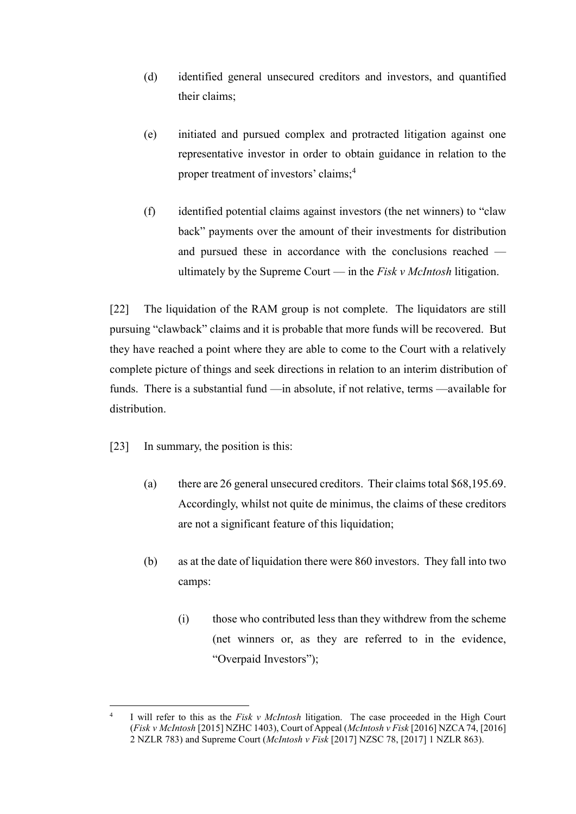- (d) identified general unsecured creditors and investors, and quantified their claims;
- <span id="page-6-0"></span>(e) initiated and pursued complex and protracted litigation against one representative investor in order to obtain guidance in relation to the proper treatment of investors' claims;<sup>4</sup>
- (f) identified potential claims against investors (the net winners) to "claw back" payments over the amount of their investments for distribution and pursued these in accordance with the conclusions reached ultimately by the Supreme Court — in the *Fisk v McIntosh* litigation.

[22] The liquidation of the RAM group is not complete. The liquidators are still pursuing "clawback" claims and it is probable that more funds will be recovered. But they have reached a point where they are able to come to the Court with a relatively complete picture of things and seek directions in relation to an interim distribution of funds. There is a substantial fund —in absolute, if not relative, terms —available for distribution.

- [23] In summary, the position is this:
	- (a) there are 26 general unsecured creditors. Their claims total \$68,195.69. Accordingly, whilst not quite de minimus, the claims of these creditors are not a significant feature of this liquidation;
	- (b) as at the date of liquidation there were 860 investors. They fall into two camps:
		- (i) those who contributed less than they withdrew from the scheme (net winners or, as they are referred to in the evidence, "Overpaid Investors");

 $\frac{1}{4}$ I will refer to this as the *Fisk v McIntosh* litigation. The case proceeded in the High Court (*Fisk v McIntosh* [2015] NZHC 1403), Court of Appeal (*McIntosh v Fisk* [2016] NZCA 74, [2016] 2 NZLR 783) and Supreme Court (*McIntosh v Fisk* [2017] NZSC 78, [2017] 1 NZLR 863).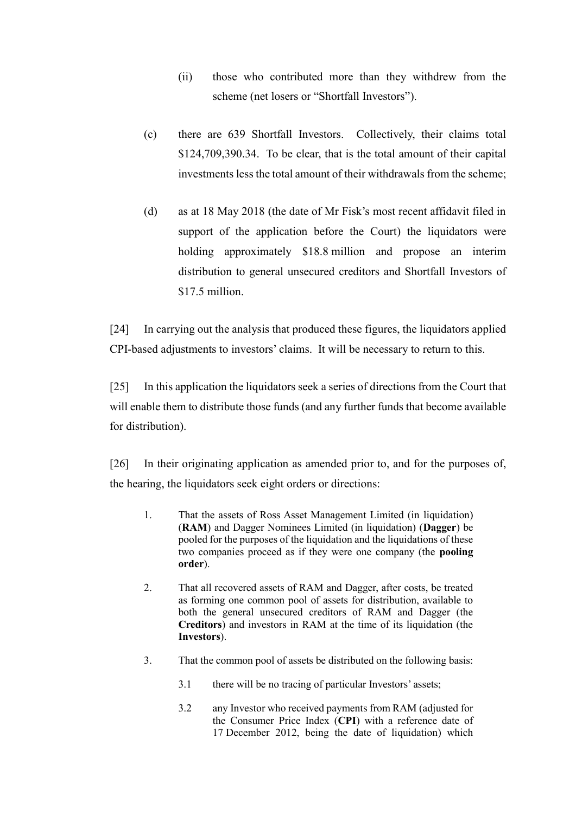- (ii) those who contributed more than they withdrew from the scheme (net losers or "Shortfall Investors").
- (c) there are 639 Shortfall Investors. Collectively, their claims total \$124,709,390.34. To be clear, that is the total amount of their capital investments less the total amount of their withdrawals from the scheme;
- (d) as at 18 May 2018 (the date of Mr Fisk's most recent affidavit filed in support of the application before the Court) the liquidators were holding approximately \$18.8 million and propose an interim distribution to general unsecured creditors and Shortfall Investors of \$17.5 million.

[24] In carrying out the analysis that produced these figures, the liquidators applied CPI-based adjustments to investors' claims. It will be necessary to return to this.

[25] In this application the liquidators seek a series of directions from the Court that will enable them to distribute those funds (and any further funds that become available for distribution).

[26] In their originating application as amended prior to, and for the purposes of, the hearing, the liquidators seek eight orders or directions:

- 1. That the assets of Ross Asset Management Limited (in liquidation) (**RAM**) and Dagger Nominees Limited (in liquidation) (**Dagger**) be pooled for the purposes of the liquidation and the liquidations of these two companies proceed as if they were one company (the **pooling order**).
- 2. That all recovered assets of RAM and Dagger, after costs, be treated as forming one common pool of assets for distribution, available to both the general unsecured creditors of RAM and Dagger (the **Creditors**) and investors in RAM at the time of its liquidation (the **Investors**).
- 3. That the common pool of assets be distributed on the following basis:
	- 3.1 there will be no tracing of particular Investors' assets;
	- 3.2 any Investor who received payments from RAM (adjusted for the Consumer Price Index (**CPI**) with a reference date of 17 December 2012, being the date of liquidation) which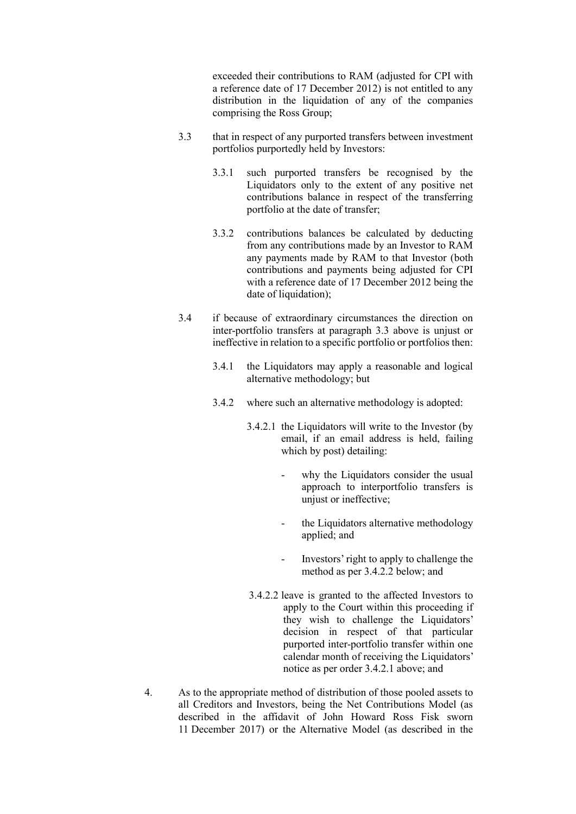exceeded their contributions to RAM (adjusted for CPI with a reference date of 17 December 2012) is not entitled to any distribution in the liquidation of any of the companies comprising the Ross Group;

- 3.3 that in respect of any purported transfers between investment portfolios purportedly held by Investors:
	- 3.3.1 such purported transfers be recognised by the Liquidators only to the extent of any positive net contributions balance in respect of the transferring portfolio at the date of transfer;
	- 3.3.2 contributions balances be calculated by deducting from any contributions made by an Investor to RAM any payments made by RAM to that Investor (both contributions and payments being adjusted for CPI with a reference date of 17 December 2012 being the date of liquidation);
- 3.4 if because of extraordinary circumstances the direction on inter-portfolio transfers at paragraph 3.3 above is unjust or ineffective in relation to a specific portfolio or portfolios then:
	- 3.4.1 the Liquidators may apply a reasonable and logical alternative methodology; but
	- 3.4.2 where such an alternative methodology is adopted:
		- 3.4.2.1 the Liquidators will write to the Investor (by email, if an email address is held, failing which by post) detailing:
			- why the Liquidators consider the usual approach to interportfolio transfers is unjust or ineffective;
			- the Liquidators alternative methodology applied; and
			- Investors' right to apply to challenge the method as per 3.4.2.2 below; and
		- 3.4.2.2 leave is granted to the affected Investors to apply to the Court within this proceeding if they wish to challenge the Liquidators' decision in respect of that particular purported inter-portfolio transfer within one calendar month of receiving the Liquidators' notice as per order 3.4.2.1 above; and
- 4. As to the appropriate method of distribution of those pooled assets to all Creditors and Investors, being the Net Contributions Model (as described in the affidavit of John Howard Ross Fisk sworn 11 December 2017) or the Alternative Model (as described in the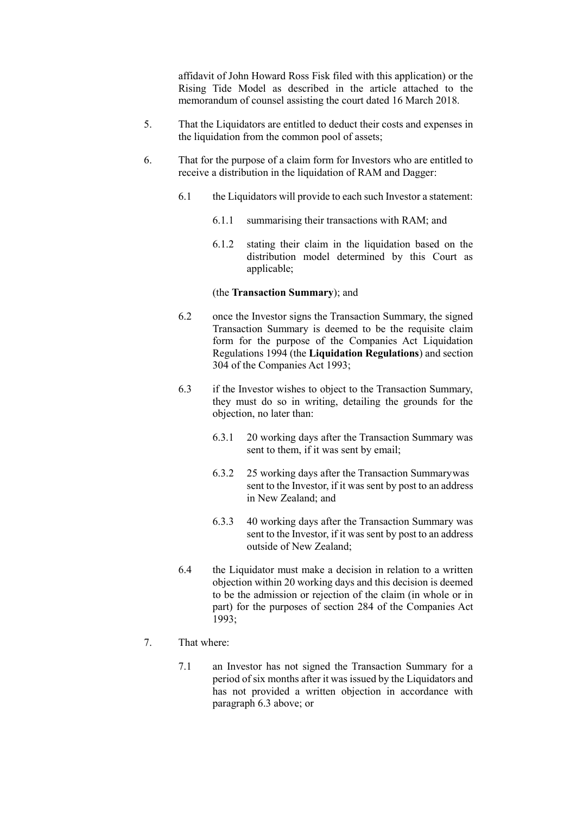affidavit of John Howard Ross Fisk filed with this application) or the Rising Tide Model as described in the article attached to the memorandum of counsel assisting the court dated 16 March 2018.

- 5. That the Liquidators are entitled to deduct their costs and expenses in the liquidation from the common pool of assets:
- 6. That for the purpose of a claim form for Investors who are entitled to receive a distribution in the liquidation of RAM and Dagger:
	- 6.1 the Liquidators will provide to each such Investor a statement:
		- 6.1.1 summarising their transactions with RAM; and
		- 6.1.2 stating their claim in the liquidation based on the distribution model determined by this Court as applicable;

#### (the **Transaction Summary**); and

- 6.2 once the Investor signs the Transaction Summary, the signed Transaction Summary is deemed to be the requisite claim form for the purpose of the Companies Act Liquidation Regulations 1994 (the **Liquidation Regulations**) and section 304 of the Companies Act 1993;
- 6.3 if the Investor wishes to object to the Transaction Summary, they must do so in writing, detailing the grounds for the objection, no later than:
	- 6.3.1 20 working days after the Transaction Summary was sent to them, if it was sent by email;
	- 6.3.2 25 working days after the Transaction Summarywas sent to the Investor, if it was sent by post to an address in New Zealand; and
	- 6.3.3 40 working days after the Transaction Summary was sent to the Investor, if it was sent by post to an address outside of New Zealand;
- 6.4 the Liquidator must make a decision in relation to a written objection within 20 working days and this decision is deemed to be the admission or rejection of the claim (in whole or in part) for the purposes of section 284 of the Companies Act 1993;

#### 7. That where:

7.1 an Investor has not signed the Transaction Summary for a period of six months after it was issued by the Liquidators and has not provided a written objection in accordance with paragraph 6.3 above; or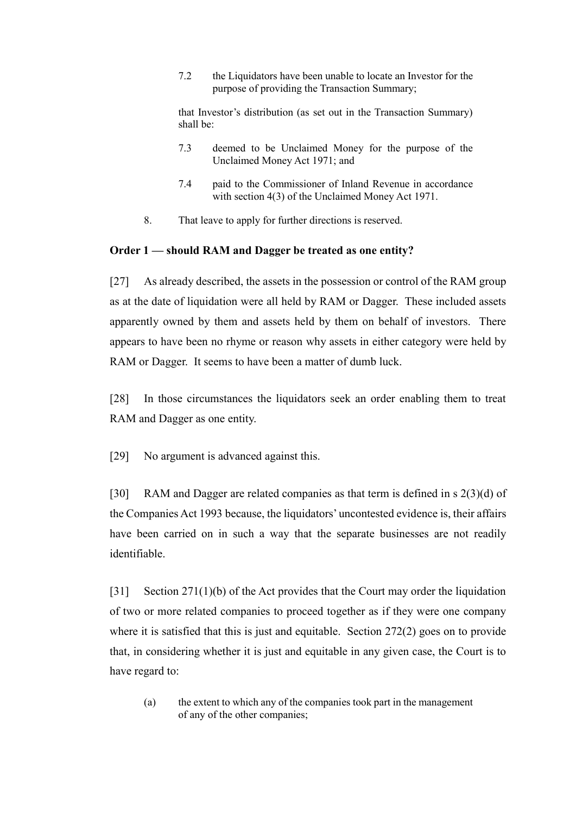7.2 the Liquidators have been unable to locate an Investor for the purpose of providing the Transaction Summary;

that Investor's distribution (as set out in the Transaction Summary) shall be:

- 7.3 deemed to be Unclaimed Money for the purpose of the Unclaimed Money Act 1971; and
- 7.4 paid to the Commissioner of Inland Revenue in accordance with section 4(3) of the Unclaimed Money Act 1971.
- 8. That leave to apply for further directions is reserved.

## <span id="page-10-0"></span>**Order 1 — should RAM and Dagger be treated as one entity?**

[27] As already described, the assets in the possession or control of the RAM group as at the date of liquidation were all held by RAM or Dagger. These included assets apparently owned by them and assets held by them on behalf of investors. There appears to have been no rhyme or reason why assets in either category were held by RAM or Dagger. It seems to have been a matter of dumb luck.

[28] In those circumstances the liquidators seek an order enabling them to treat RAM and Dagger as one entity.

[29] No argument is advanced against this.

[30] RAM and Dagger are related companies as that term is defined in s 2(3)(d) of the Companies Act 1993 because, the liquidators' uncontested evidence is, their affairs have been carried on in such a way that the separate businesses are not readily identifiable.

[31] Section 271(1)(b) of the Act provides that the Court may order the liquidation of two or more related companies to proceed together as if they were one company where it is satisfied that this is just and equitable. Section 272(2) goes on to provide that, in considering whether it is just and equitable in any given case, the Court is to have regard to:

(a) the extent to which any of the companies took part in the management of any of the other companies;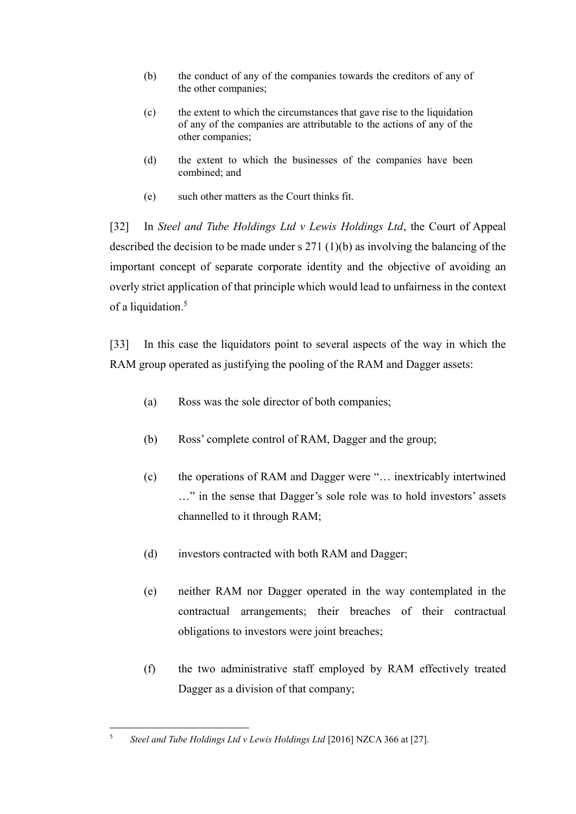- (b) the conduct of any of the companies towards the creditors of any of the other companies;
- (c) the extent to which the circumstances that gave rise to the liquidation of any of the companies are attributable to the actions of any of the other companies;
- (d) the extent to which the businesses of the companies have been combined; and
- (e) such other matters as the Court thinks fit.

[32] In *Steel and Tube Holdings Ltd v Lewis Holdings Ltd*, the Court of Appeal described the decision to be made under s 271 (1)(b) as involving the balancing of the important concept of separate corporate identity and the objective of avoiding an overly strict application of that principle which would lead to unfairness in the context of a liquidation. 5

[33] In this case the liquidators point to several aspects of the way in which the RAM group operated as justifying the pooling of the RAM and Dagger assets:

- (a) Ross was the sole director of both companies;
- (b) Ross' complete control of RAM, Dagger and the group;
- (c) the operations of RAM and Dagger were "… inextricably intertwined …" in the sense that Dagger's sole role was to hold investors' assets channelled to it through RAM;
- (d) investors contracted with both RAM and Dagger;
- (e) neither RAM nor Dagger operated in the way contemplated in the contractual arrangements; their breaches of their contractual obligations to investors were joint breaches;
- (f) the two administrative staff employed by RAM effectively treated Dagger as a division of that company;

 $\overline{a}$ <sup>5</sup> *Steel and Tube Holdings Ltd v Lewis Holdings Ltd* [2016] NZCA 366 at [27].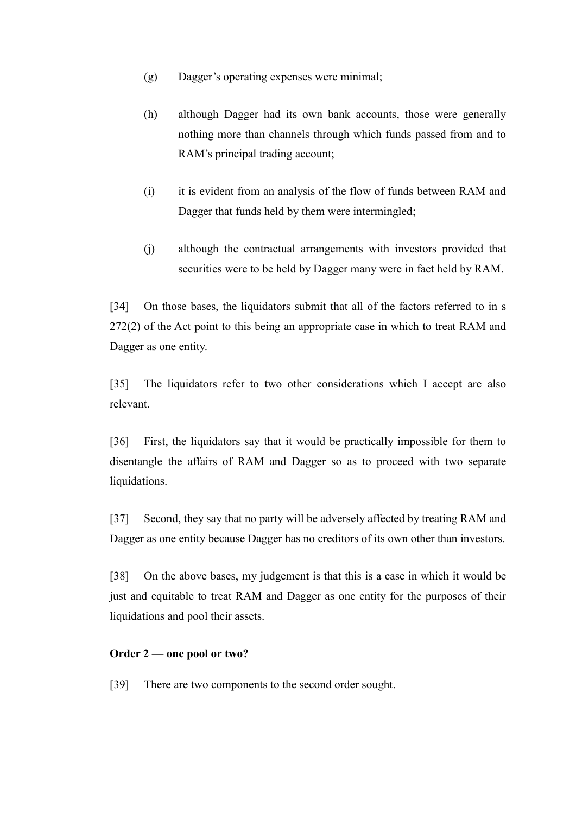- (g) Dagger's operating expenses were minimal;
- (h) although Dagger had its own bank accounts, those were generally nothing more than channels through which funds passed from and to RAM's principal trading account;
- (i) it is evident from an analysis of the flow of funds between RAM and Dagger that funds held by them were intermingled;
- (j) although the contractual arrangements with investors provided that securities were to be held by Dagger many were in fact held by RAM.

[34] On those bases, the liquidators submit that all of the factors referred to in s 272(2) of the Act point to this being an appropriate case in which to treat RAM and Dagger as one entity.

[35] The liquidators refer to two other considerations which I accept are also relevant.

[36] First, the liquidators say that it would be practically impossible for them to disentangle the affairs of RAM and Dagger so as to proceed with two separate liquidations.

[37] Second, they say that no party will be adversely affected by treating RAM and Dagger as one entity because Dagger has no creditors of its own other than investors.

[38] On the above bases, my judgement is that this is a case in which it would be just and equitable to treat RAM and Dagger as one entity for the purposes of their liquidations and pool their assets.

# <span id="page-12-0"></span>**Order 2 — one pool or two?**

[39] There are two components to the second order sought.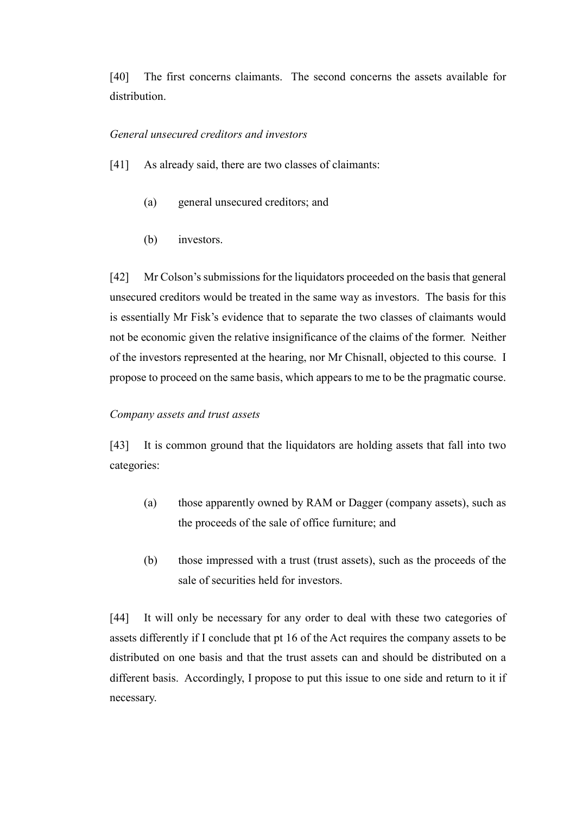[40] The first concerns claimants. The second concerns the assets available for distribution.

## <span id="page-13-0"></span>*General unsecured creditors and investors*

- [41] As already said, there are two classes of claimants:
	- (a) general unsecured creditors; and
	- (b) investors.

[42] Mr Colson's submissions for the liquidators proceeded on the basis that general unsecured creditors would be treated in the same way as investors. The basis for this is essentially Mr Fisk's evidence that to separate the two classes of claimants would not be economic given the relative insignificance of the claims of the former. Neither of the investors represented at the hearing, nor Mr Chisnall, objected to this course. I propose to proceed on the same basis, which appears to me to be the pragmatic course.

#### <span id="page-13-1"></span>*Company assets and trust assets*

[43] It is common ground that the liquidators are holding assets that fall into two categories:

- (a) those apparently owned by RAM or Dagger (company assets), such as the proceeds of the sale of office furniture; and
- (b) those impressed with a trust (trust assets), such as the proceeds of the sale of securities held for investors.

[44] It will only be necessary for any order to deal with these two categories of assets differently if I conclude that pt 16 of the Act requires the company assets to be distributed on one basis and that the trust assets can and should be distributed on a different basis. Accordingly, I propose to put this issue to one side and return to it if necessary.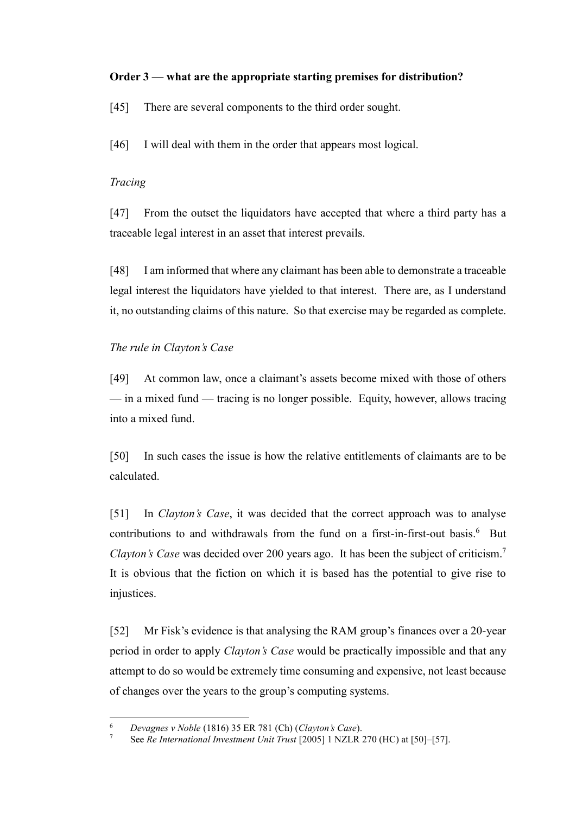# <span id="page-14-0"></span>**Order 3 — what are the appropriate starting premises for distribution?**

[45] There are several components to the third order sought.

[46] I will deal with them in the order that appears most logical.

# <span id="page-14-1"></span>*Tracing*

[47] From the outset the liquidators have accepted that where a third party has a traceable legal interest in an asset that interest prevails.

[48] I am informed that where any claimant has been able to demonstrate a traceable legal interest the liquidators have yielded to that interest. There are, as I understand it, no outstanding claims of this nature. So that exercise may be regarded as complete.

# <span id="page-14-2"></span>*The rule in Clayton's Case*

[49] At common law, once a claimant's assets become mixed with those of others — in a mixed fund — tracing is no longer possible. Equity, however, allows tracing into a mixed fund.

[50] In such cases the issue is how the relative entitlements of claimants are to be calculated.

<span id="page-14-3"></span>[51] In *Clayton's Case*, it was decided that the correct approach was to analyse contributions to and withdrawals from the fund on a first-in-first-out basis.<sup>6</sup> But *Clayton's Case* was decided over 200 years ago. It has been the subject of criticism.<sup>7</sup> It is obvious that the fiction on which it is based has the potential to give rise to injustices.

[52] Mr Fisk's evidence is that analysing the RAM group's finances over a 20-year period in order to apply *Clayton's Case* would be practically impossible and that any attempt to do so would be extremely time consuming and expensive, not least because of changes over the years to the group's computing systems.

 $\sqrt{6}$ <sup>6</sup> *Devagnes v Noble* (1816) 35 ER 781 (Ch) (*Clayton's Case*).

<sup>7</sup> See *Re International Investment Unit Trust* [2005] 1 NZLR 270 (HC) at [50]–[57].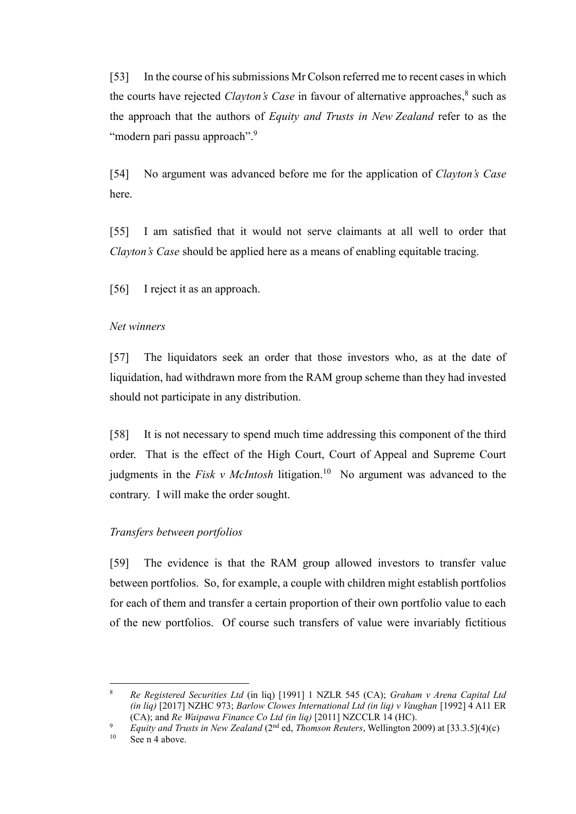<span id="page-15-2"></span>[53] In the course of his submissions Mr Colson referred me to recent casesin which the courts have rejected *Clayton's Case* in favour of alternative approaches, 8 such as the approach that the authors of *Equity and Trusts in New Zealand* refer to as the "modern pari passu approach".<sup>9</sup>

[54] No argument was advanced before me for the application of *Clayton's Case* here.

[55] I am satisfied that it would not serve claimants at all well to order that *Clayton's Case* should be applied here as a means of enabling equitable tracing.

[56] I reject it as an approach.

## <span id="page-15-0"></span>*Net winners*

[57] The liquidators seek an order that those investors who, as at the date of liquidation, had withdrawn more from the RAM group scheme than they had invested should not participate in any distribution.

[58] It is not necessary to spend much time addressing this component of the third order. That is the effect of the High Court, Court of Appeal and Supreme Court judgments in the *Fisk v McIntosh* litigation.<sup>10</sup> No argument was advanced to the contrary. I will make the order sought.

#### <span id="page-15-1"></span>*Transfers between portfolios*

[59] The evidence is that the RAM group allowed investors to transfer value between portfolios. So, for example, a couple with children might establish portfolios for each of them and transfer a certain proportion of their own portfolio value to each of the new portfolios. Of course such transfers of value were invariably fictitious

 $\overline{a}$ <sup>8</sup> *Re Registered Securities Ltd* (in liq) [1991] 1 NZLR 545 (CA); *Graham v Arena Capital Ltd (in liq)* [2017] NZHC 973; *Barlow Clowes International Ltd (in liq) v Vaughan* [1992] 4 A11 ER (CA); and *Re Waipawa Finance Co Ltd (in liq)* [2011] NZCCLR 14 (HC).

<sup>9</sup> *Equity and Trusts in New Zealand* (2nd ed, *Thomson Reuters*, Wellington 2009) at [33.3.5](4)(c)

See n [4](#page-6-0) above.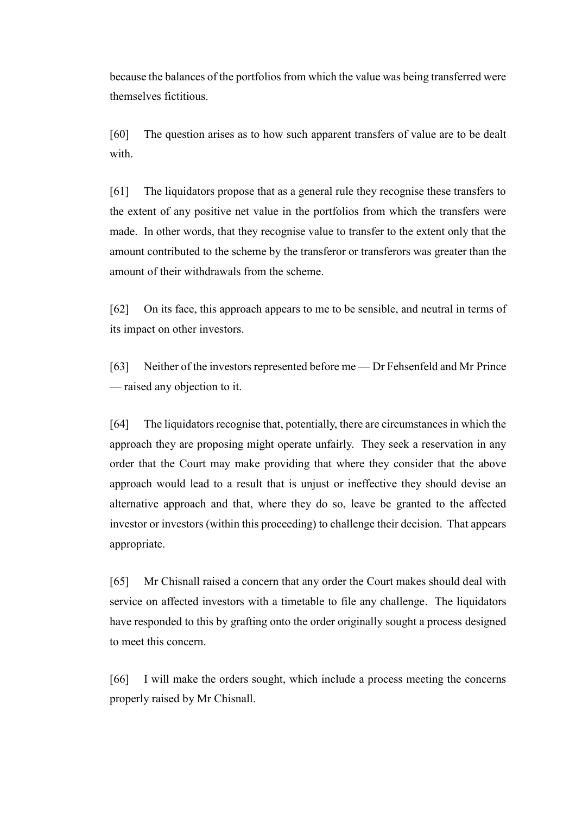because the balances of the portfolios from which the value was being transferred were themselves fictitious.

[60] The question arises as to how such apparent transfers of value are to be dealt with.

[61] The liquidators propose that as a general rule they recognise these transfers to the extent of any positive net value in the portfolios from which the transfers were made. In other words, that they recognise value to transfer to the extent only that the amount contributed to the scheme by the transferor or transferors was greater than the amount of their withdrawals from the scheme.

[62] On its face, this approach appears to me to be sensible, and neutral in terms of its impact on other investors.

[63] Neither of the investors represented before me — Dr Fehsenfeld and Mr Prince — raised any objection to it.

[64] The liquidators recognise that, potentially, there are circumstances in which the approach they are proposing might operate unfairly. They seek a reservation in any order that the Court may make providing that where they consider that the above approach would lead to a result that is unjust or ineffective they should devise an alternative approach and that, where they do so, leave be granted to the affected investor or investors (within this proceeding) to challenge their decision. That appears appropriate.

[65] Mr Chisnall raised a concern that any order the Court makes should deal with service on affected investors with a timetable to file any challenge. The liquidators have responded to this by grafting onto the order originally sought a process designed to meet this concern.

[66] I will make the orders sought, which include a process meeting the concerns properly raised by Mr Chisnall.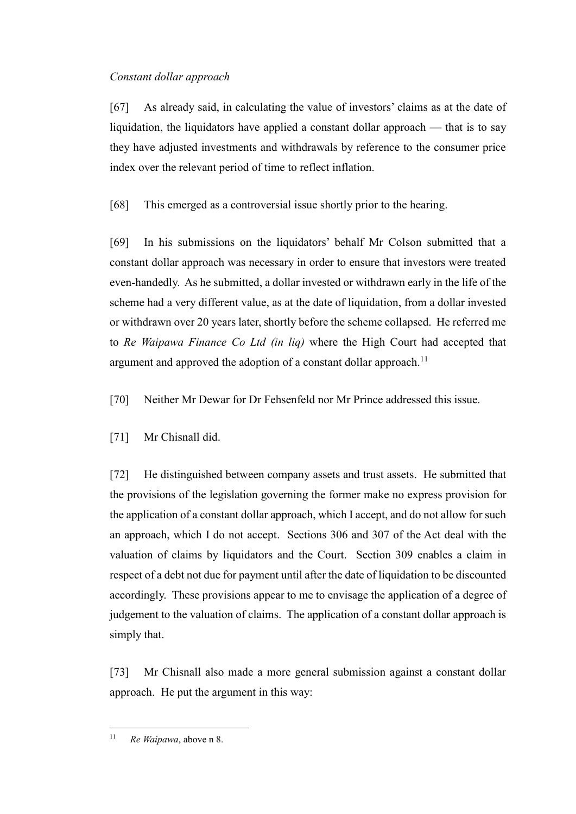# <span id="page-17-0"></span>*Constant dollar approach*

[67] As already said, in calculating the value of investors' claims as at the date of liquidation, the liquidators have applied a constant dollar approach — that is to say they have adjusted investments and withdrawals by reference to the consumer price index over the relevant period of time to reflect inflation.

[68] This emerged as a controversial issue shortly prior to the hearing.

[69] In his submissions on the liquidators' behalf Mr Colson submitted that a constant dollar approach was necessary in order to ensure that investors were treated even-handedly. As he submitted, a dollar invested or withdrawn early in the life of the scheme had a very different value, as at the date of liquidation, from a dollar invested or withdrawn over 20 years later, shortly before the scheme collapsed. He referred me to *Re Waipawa Finance Co Ltd (in liq)* where the High Court had accepted that argument and approved the adoption of a constant dollar approach.<sup>11</sup>

[70] Neither Mr Dewar for Dr Fehsenfeld nor Mr Prince addressed this issue.

[71] Mr Chisnall did.

[72] He distinguished between company assets and trust assets. He submitted that the provisions of the legislation governing the former make no express provision for the application of a constant dollar approach, which I accept, and do not allow for such an approach, which I do not accept. Sections 306 and 307 of the Act deal with the valuation of claims by liquidators and the Court. Section 309 enables a claim in respect of a debt not due for payment until after the date of liquidation to be discounted accordingly. These provisions appear to me to envisage the application of a degree of judgement to the valuation of claims. The application of a constant dollar approach is simply that.

[73] Mr Chisnall also made a more general submission against a constant dollar approach. He put the argument in this way:

 $\overline{a}$ <sup>11</sup> *Re Waipawa*, above n [8.](#page-15-2)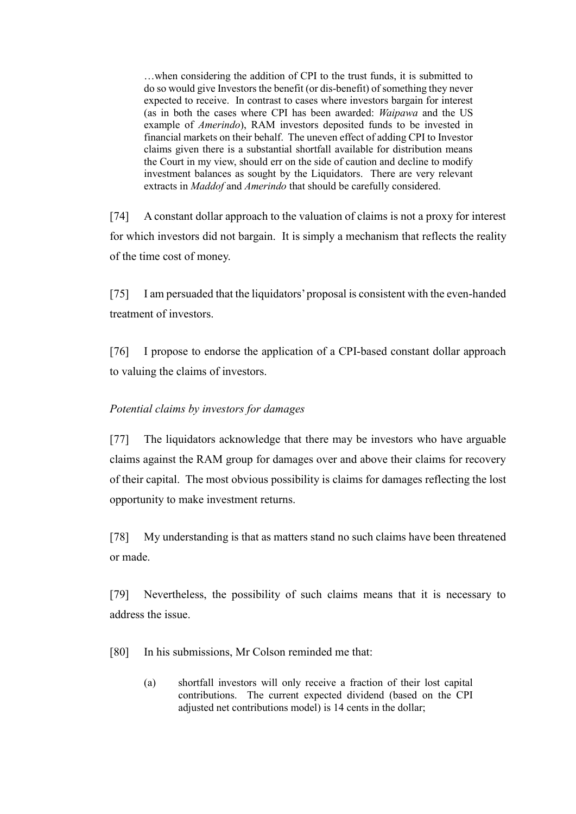…when considering the addition of CPI to the trust funds, it is submitted to do so would give Investors the benefit (or dis-benefit) of something they never expected to receive. In contrast to cases where investors bargain for interest (as in both the cases where CPI has been awarded: *Waipawa* and the US example of *Amerindo*), RAM investors deposited funds to be invested in financial markets on their behalf. The uneven effect of adding CPI to Investor claims given there is a substantial shortfall available for distribution means the Court in my view, should err on the side of caution and decline to modify investment balances as sought by the Liquidators. There are very relevant extracts in *Maddof* and *Amerindo* that should be carefully considered.

[74] A constant dollar approach to the valuation of claims is not a proxy for interest for which investors did not bargain. It is simply a mechanism that reflects the reality of the time cost of money.

[75] I am persuaded that the liquidators' proposal is consistent with the even-handed treatment of investors.

[76] I propose to endorse the application of a CPI-based constant dollar approach to valuing the claims of investors.

# <span id="page-18-0"></span>*Potential claims by investors for damages*

[77] The liquidators acknowledge that there may be investors who have arguable claims against the RAM group for damages over and above their claims for recovery of their capital. The most obvious possibility is claims for damages reflecting the lost opportunity to make investment returns.

[78] My understanding is that as matters stand no such claims have been threatened or made.

[79] Nevertheless, the possibility of such claims means that it is necessary to address the issue.

[80] In his submissions, Mr Colson reminded me that:

(a) shortfall investors will only receive a fraction of their lost capital contributions. The current expected dividend (based on the CPI adjusted net contributions model) is 14 cents in the dollar;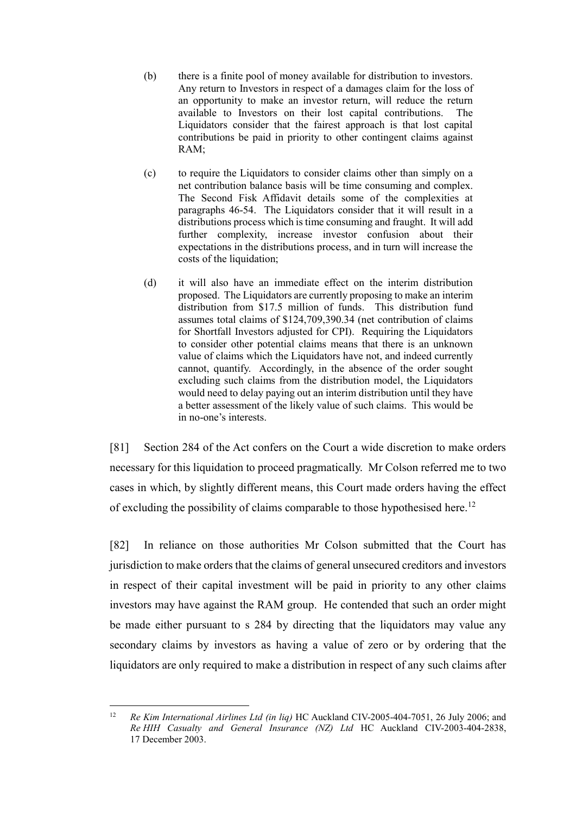- (b) there is a finite pool of money available for distribution to investors. Any return to Investors in respect of a damages claim for the loss of an opportunity to make an investor return, will reduce the return available to Investors on their lost capital contributions. The Liquidators consider that the fairest approach is that lost capital contributions be paid in priority to other contingent claims against RAM;
- (c) to require the Liquidators to consider claims other than simply on a net contribution balance basis will be time consuming and complex. The Second Fisk Affidavit details some of the complexities at paragraphs 46-54. The Liquidators consider that it will result in a distributions process which is time consuming and fraught. It will add further complexity, increase investor confusion about their expectations in the distributions process, and in turn will increase the costs of the liquidation;
- (d) it will also have an immediate effect on the interim distribution proposed. The Liquidators are currently proposing to make an interim distribution from \$17.5 million of funds. This distribution fund assumes total claims of \$124,709,390.34 (net contribution of claims for Shortfall Investors adjusted for CPI). Requiring the Liquidators to consider other potential claims means that there is an unknown value of claims which the Liquidators have not, and indeed currently cannot, quantify. Accordingly, in the absence of the order sought excluding such claims from the distribution model, the Liquidators would need to delay paying out an interim distribution until they have a better assessment of the likely value of such claims. This would be in no-one's interests.

[81] Section 284 of the Act confers on the Court a wide discretion to make orders necessary for this liquidation to proceed pragmatically. Mr Colson referred me to two cases in which, by slightly different means, this Court made orders having the effect of excluding the possibility of claims comparable to those hypothesised here.<sup>12</sup>

[82] In reliance on those authorities Mr Colson submitted that the Court has jurisdiction to make orders that the claims of general unsecured creditors and investors in respect of their capital investment will be paid in priority to any other claims investors may have against the RAM group. He contended that such an order might be made either pursuant to s 284 by directing that the liquidators may value any secondary claims by investors as having a value of zero or by ordering that the liquidators are only required to make a distribution in respect of any such claims after

 $12$ <sup>12</sup> *Re Kim International Airlines Ltd (in liq)* HC Auckland CIV-2005-404-7051, 26 July 2006; and *Re HIH Casualty and General Insurance (NZ) Ltd* HC Auckland CIV-2003-404-2838, 17 December 2003.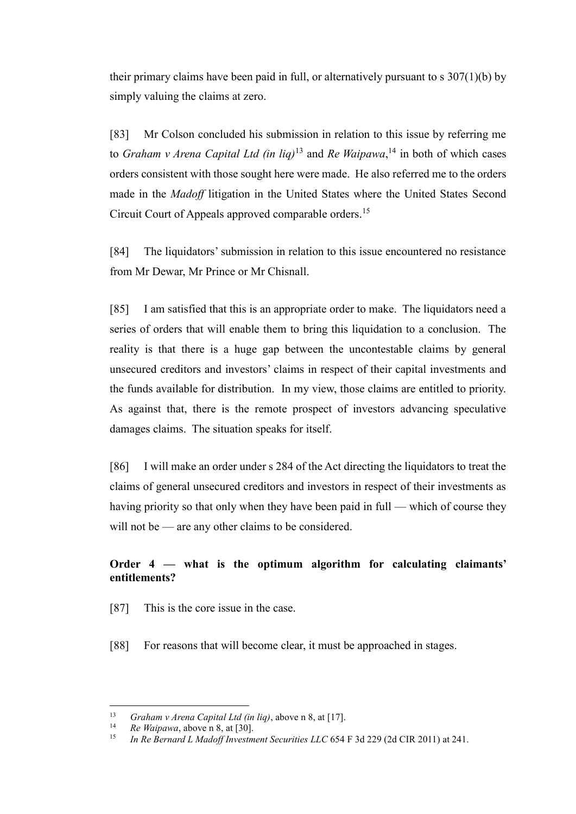their primary claims have been paid in full, or alternatively pursuant to s 307(1)(b) by simply valuing the claims at zero.

[83] Mr Colson concluded his submission in relation to this issue by referring me to *Graham v Arena Capital Ltd (in liq)*<sup>13</sup> and *Re Waipawa*, <sup>14</sup> in both of which cases orders consistent with those sought here were made. He also referred me to the orders made in the *Madoff* litigation in the United States where the United States Second Circuit Court of Appeals approved comparable orders.<sup>15</sup>

[84] The liquidators' submission in relation to this issue encountered no resistance from Mr Dewar, Mr Prince or Mr Chisnall.

[85] I am satisfied that this is an appropriate order to make. The liquidators need a series of orders that will enable them to bring this liquidation to a conclusion. The reality is that there is a huge gap between the uncontestable claims by general unsecured creditors and investors' claims in respect of their capital investments and the funds available for distribution. In my view, those claims are entitled to priority. As against that, there is the remote prospect of investors advancing speculative damages claims. The situation speaks for itself.

[86] I will make an order under s 284 of the Act directing the liquidators to treat the claims of general unsecured creditors and investors in respect of their investments as having priority so that only when they have been paid in full — which of course they will not be — are any other claims to be considered.

# <span id="page-20-0"></span>**Order 4 — what is the optimum algorithm for calculating claimants' entitlements?**

[87] This is the core issue in the case.

[88] For reasons that will become clear, it must be approached in stages.

<sup>&</sup>lt;sup>13</sup> *Graham v Arena Capital Ltd (in liq)*, above [n 8,](#page-15-2) at [17].

<sup>14</sup> *Re Waipawa*, above [n 8,](#page-15-2) at [30].

<sup>15</sup> *In Re Bernard L Madoff Investment Securities LLC* 654 F 3d 229 (2d CIR 2011) at 241.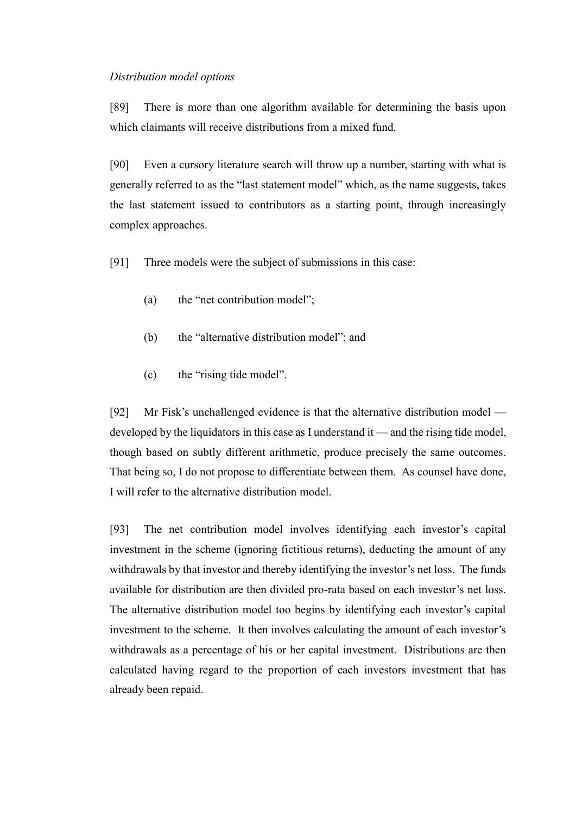#### <span id="page-21-0"></span>*Distribution model options*

[89] There is more than one algorithm available for determining the basis upon which claimants will receive distributions from a mixed fund.

[90] Even a cursory literature search will throw up a number, starting with what is generally referred to as the "last statement model" which, as the name suggests, takes the last statement issued to contributors as a starting point, through increasingly complex approaches.

[91] Three models were the subject of submissions in this case:

- (a) the "net contribution model";
- (b) the "alternative distribution model"; and
- (c) the "rising tide model".

[92] Mr Fisk's unchallenged evidence is that the alternative distribution model developed by the liquidators in this case as I understand it — and the rising tide model, though based on subtly different arithmetic, produce precisely the same outcomes. That being so, I do not propose to differentiate between them. As counsel have done, I will refer to the alternative distribution model.

[93] The net contribution model involves identifying each investor's capital investment in the scheme (ignoring fictitious returns), deducting the amount of any withdrawals by that investor and thereby identifying the investor's net loss. The funds available for distribution are then divided pro-rata based on each investor's net loss. The alternative distribution model too begins by identifying each investor's capital investment to the scheme. It then involves calculating the amount of each investor's withdrawals as a percentage of his or her capital investment. Distributions are then calculated having regard to the proportion of each investors investment that has already been repaid.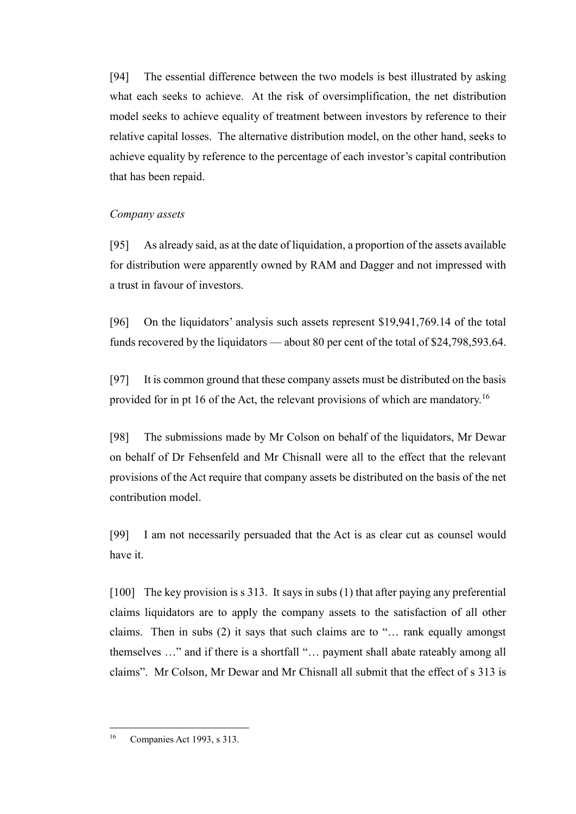[94] The essential difference between the two models is best illustrated by asking what each seeks to achieve. At the risk of oversimplification, the net distribution model seeks to achieve equality of treatment between investors by reference to their relative capital losses. The alternative distribution model, on the other hand, seeks to achieve equality by reference to the percentage of each investor's capital contribution that has been repaid.

## <span id="page-22-0"></span>*Company assets*

[95] As already said, as at the date of liquidation, a proportion of the assets available for distribution were apparently owned by RAM and Dagger and not impressed with a trust in favour of investors.

[96] On the liquidators' analysis such assets represent \$19,941,769.14 of the total funds recovered by the liquidators — about 80 per cent of the total of \$24,798,593.64.

[97] It is common ground that these company assets must be distributed on the basis provided for in pt 16 of the Act, the relevant provisions of which are mandatory.<sup>16</sup>

[98] The submissions made by Mr Colson on behalf of the liquidators, Mr Dewar on behalf of Dr Fehsenfeld and Mr Chisnall were all to the effect that the relevant provisions of the Act require that company assets be distributed on the basis of the net contribution model.

[99] I am not necessarily persuaded that the Act is as clear cut as counsel would have it.

[100] The key provision is s 313. It says in subs (1) that after paying any preferential claims liquidators are to apply the company assets to the satisfaction of all other claims. Then in subs (2) it says that such claims are to "… rank equally amongst themselves …" and if there is a shortfall "… payment shall abate rateably among all claims". Mr Colson, Mr Dewar and Mr Chisnall all submit that the effect of s 313 is

 $\overline{a}$ <sup>16</sup> Companies Act 1993, s 313.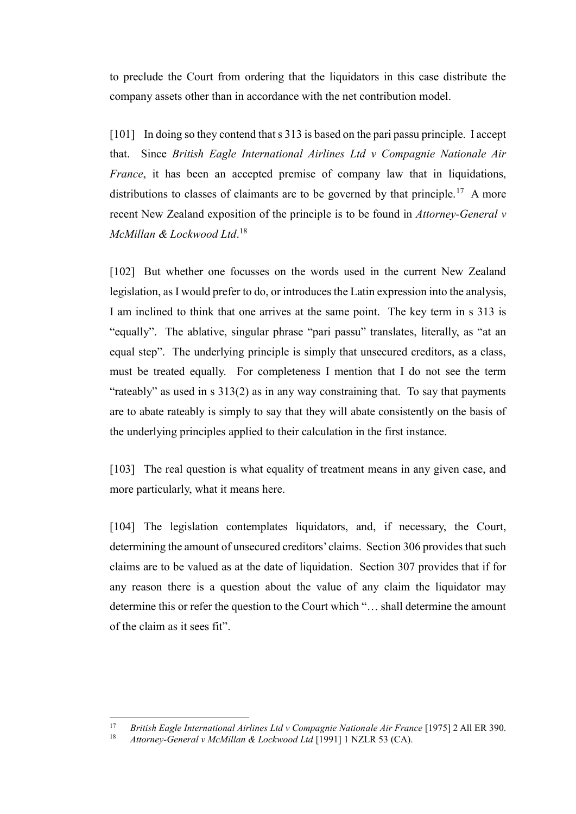to preclude the Court from ordering that the liquidators in this case distribute the company assets other than in accordance with the net contribution model.

[101] In doing so they contend that s 313 is based on the pari passu principle. I accept that. Since *British Eagle International Airlines Ltd v Compagnie Nationale Air France*, it has been an accepted premise of company law that in liquidations, distributions to classes of claimants are to be governed by that principle.<sup>17</sup> A more recent New Zealand exposition of the principle is to be found in *Attorney-General v McMillan & Lockwood Ltd*. 18

[102] But whether one focusses on the words used in the current New Zealand legislation, as I would prefer to do, or introduces the Latin expression into the analysis, I am inclined to think that one arrives at the same point. The key term in s 313 is "equally". The ablative, singular phrase "pari passu" translates, literally, as "at an equal step". The underlying principle is simply that unsecured creditors, as a class, must be treated equally. For completeness I mention that I do not see the term "rateably" as used in s 313(2) as in any way constraining that. To say that payments are to abate rateably is simply to say that they will abate consistently on the basis of the underlying principles applied to their calculation in the first instance.

[103] The real question is what equality of treatment means in any given case, and more particularly, what it means here.

[104] The legislation contemplates liquidators, and, if necessary, the Court, determining the amount of unsecured creditors' claims. Section 306 provides that such claims are to be valued as at the date of liquidation. Section 307 provides that if for any reason there is a question about the value of any claim the liquidator may determine this or refer the question to the Court which "… shall determine the amount of the claim as it sees fit".

 $17$ <sup>17</sup> *British Eagle International Airlines Ltd v Compagnie Nationale Air France* [1975] 2 All ER 390.

<sup>18</sup> *Attorney-General v McMillan & Lockwood Ltd* [1991] 1 NZLR 53 (CA).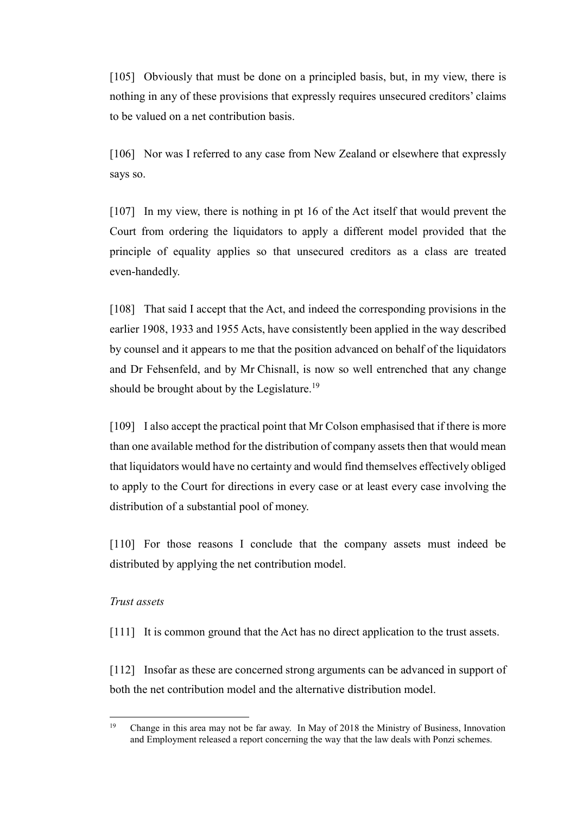[105] Obviously that must be done on a principled basis, but, in my view, there is nothing in any of these provisions that expressly requires unsecured creditors' claims to be valued on a net contribution basis.

[106] Nor was I referred to any case from New Zealand or elsewhere that expressly says so.

[107] In my view, there is nothing in pt 16 of the Act itself that would prevent the Court from ordering the liquidators to apply a different model provided that the principle of equality applies so that unsecured creditors as a class are treated even-handedly.

[108] That said I accept that the Act, and indeed the corresponding provisions in the earlier 1908, 1933 and 1955 Acts, have consistently been applied in the way described by counsel and it appears to me that the position advanced on behalf of the liquidators and Dr Fehsenfeld, and by Mr Chisnall, is now so well entrenched that any change should be brought about by the Legislature.<sup>19</sup>

[109] I also accept the practical point that Mr Colson emphasised that if there is more than one available method for the distribution of company assets then that would mean that liquidators would have no certainty and would find themselves effectively obliged to apply to the Court for directions in every case or at least every case involving the distribution of a substantial pool of money.

[110] For those reasons I conclude that the company assets must indeed be distributed by applying the net contribution model.

#### <span id="page-24-0"></span>*Trust assets*

[111] It is common ground that the Act has no direct application to the trust assets.

[112] Insofar as these are concerned strong arguments can be advanced in support of both the net contribution model and the alternative distribution model.

 $19$ <sup>19</sup> Change in this area may not be far away. In May of 2018 the Ministry of Business, Innovation and Employment released a report concerning the way that the law deals with Ponzi schemes.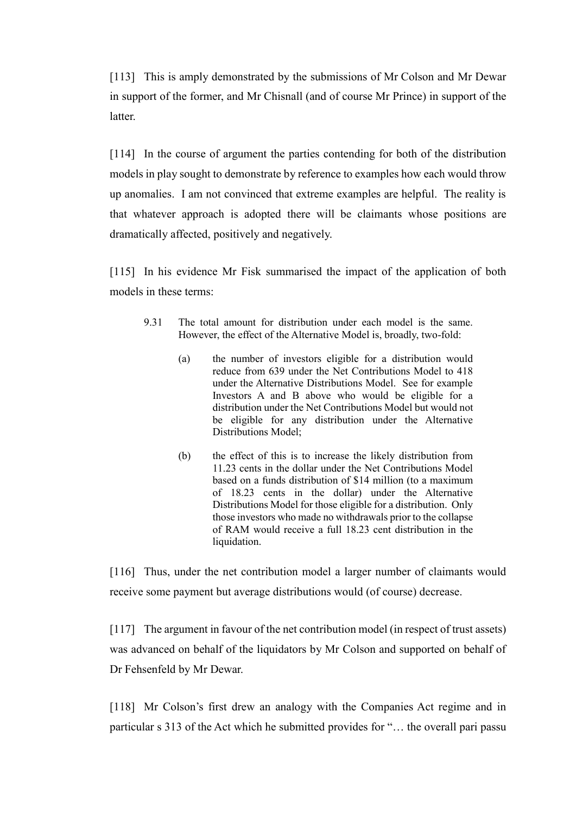[113] This is amply demonstrated by the submissions of Mr Colson and Mr Dewar in support of the former, and Mr Chisnall (and of course Mr Prince) in support of the latter.

[114] In the course of argument the parties contending for both of the distribution models in play sought to demonstrate by reference to examples how each would throw up anomalies. I am not convinced that extreme examples are helpful. The reality is that whatever approach is adopted there will be claimants whose positions are dramatically affected, positively and negatively.

[115] In his evidence Mr Fisk summarised the impact of the application of both models in these terms:

- 9.31 The total amount for distribution under each model is the same. However, the effect of the Alternative Model is, broadly, two-fold:
	- (a) the number of investors eligible for a distribution would reduce from 639 under the Net Contributions Model to 418 under the Alternative Distributions Model. See for example Investors A and B above who would be eligible for a distribution under the Net Contributions Model but would not be eligible for any distribution under the Alternative Distributions Model;
	- (b) the effect of this is to increase the likely distribution from 11.23 cents in the dollar under the Net Contributions Model based on a funds distribution of \$14 million (to a maximum of 18.23 cents in the dollar) under the Alternative Distributions Model for those eligible for a distribution. Only those investors who made no withdrawals prior to the collapse of RAM would receive a full 18.23 cent distribution in the liquidation.

[116] Thus, under the net contribution model a larger number of claimants would receive some payment but average distributions would (of course) decrease.

[117] The argument in favour of the net contribution model (in respect of trust assets) was advanced on behalf of the liquidators by Mr Colson and supported on behalf of Dr Fehsenfeld by Mr Dewar.

[118] Mr Colson's first drew an analogy with the Companies Act regime and in particular s 313 of the Act which he submitted provides for "… the overall pari passu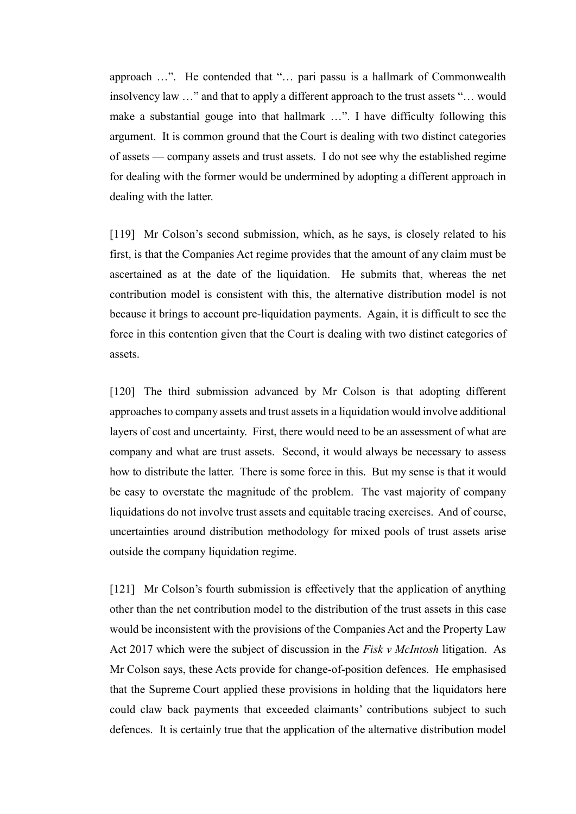approach …". He contended that "… pari passu is a hallmark of Commonwealth insolvency law …" and that to apply a different approach to the trust assets "… would make a substantial gouge into that hallmark …". I have difficulty following this argument. It is common ground that the Court is dealing with two distinct categories of assets — company assets and trust assets. I do not see why the established regime for dealing with the former would be undermined by adopting a different approach in dealing with the latter.

[119] Mr Colson's second submission, which, as he says, is closely related to his first, is that the Companies Act regime provides that the amount of any claim must be ascertained as at the date of the liquidation. He submits that, whereas the net contribution model is consistent with this, the alternative distribution model is not because it brings to account pre-liquidation payments. Again, it is difficult to see the force in this contention given that the Court is dealing with two distinct categories of assets.

[120] The third submission advanced by Mr Colson is that adopting different approaches to company assets and trust assets in a liquidation would involve additional layers of cost and uncertainty. First, there would need to be an assessment of what are company and what are trust assets. Second, it would always be necessary to assess how to distribute the latter. There is some force in this. But my sense is that it would be easy to overstate the magnitude of the problem. The vast majority of company liquidations do not involve trust assets and equitable tracing exercises. And of course, uncertainties around distribution methodology for mixed pools of trust assets arise outside the company liquidation regime.

[121] Mr Colson's fourth submission is effectively that the application of anything other than the net contribution model to the distribution of the trust assets in this case would be inconsistent with the provisions of the Companies Act and the Property Law Act 2017 which were the subject of discussion in the *Fisk v McIntosh* litigation. As Mr Colson says, these Acts provide for change-of-position defences. He emphasised that the Supreme Court applied these provisions in holding that the liquidators here could claw back payments that exceeded claimants' contributions subject to such defences. It is certainly true that the application of the alternative distribution model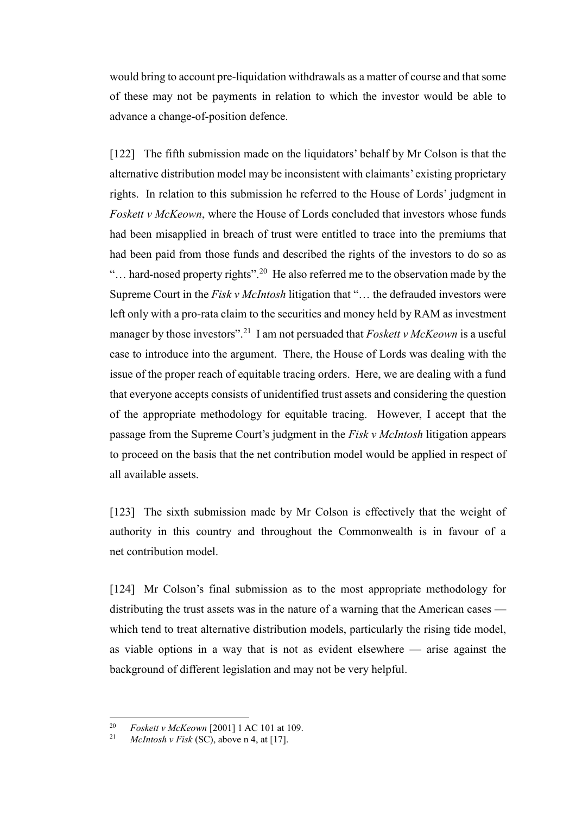would bring to account pre-liquidation withdrawals as a matter of course and that some of these may not be payments in relation to which the investor would be able to advance a change-of-position defence.

<span id="page-27-0"></span>[122] The fifth submission made on the liquidators' behalf by Mr Colson is that the alternative distribution model may be inconsistent with claimants' existing proprietary rights. In relation to this submission he referred to the House of Lords' judgment in *Foskett v McKeown*, where the House of Lords concluded that investors whose funds had been misapplied in breach of trust were entitled to trace into the premiums that had been paid from those funds and described the rights of the investors to do so as "... hard-nosed property rights".<sup>20</sup> He also referred me to the observation made by the Supreme Court in the *Fisk v McIntosh* litigation that "… the defrauded investors were left only with a pro-rata claim to the securities and money held by RAM as investment manager by those investors".<sup>21</sup> I am not persuaded that *Foskett v McKeown* is a useful case to introduce into the argument. There, the House of Lords was dealing with the issue of the proper reach of equitable tracing orders. Here, we are dealing with a fund that everyone accepts consists of unidentified trust assets and considering the question of the appropriate methodology for equitable tracing. However, I accept that the passage from the Supreme Court's judgment in the *Fisk v McIntosh* litigation appears to proceed on the basis that the net contribution model would be applied in respect of all available assets.

[123] The sixth submission made by Mr Colson is effectively that the weight of authority in this country and throughout the Commonwealth is in favour of a net contribution model.

[124] Mr Colson's final submission as to the most appropriate methodology for distributing the trust assets was in the nature of a warning that the American cases which tend to treat alternative distribution models, particularly the rising tide model, as viable options in a way that is not as evident elsewhere — arise against the background of different legislation and may not be very helpful.

 $20$ <sup>20</sup> *Foskett v McKeown* [2001] 1 AC 101 at 109.

<sup>21</sup> *McIntosh v Fisk* (SC), above n [4,](#page-6-0) at [17].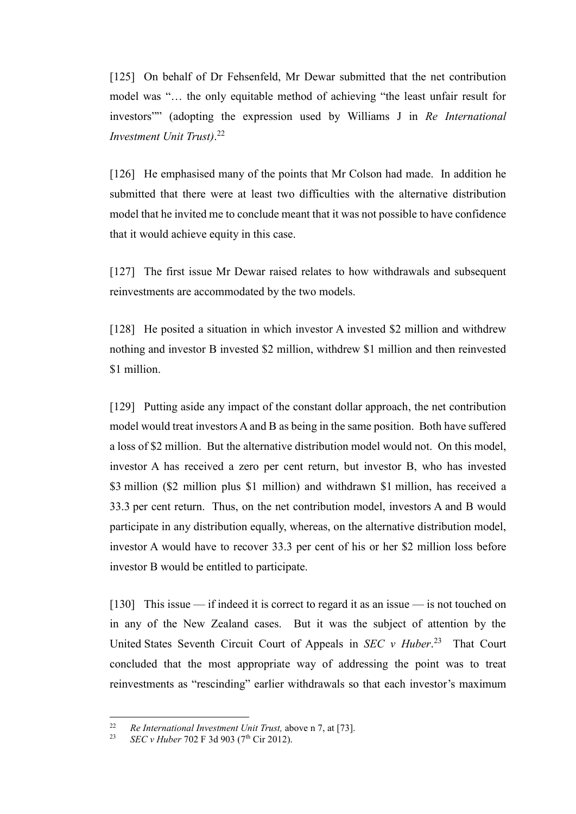[125] On behalf of Dr Fehsenfeld, Mr Dewar submitted that the net contribution model was "… the only equitable method of achieving "the least unfair result for investors"" (adopting the expression used by Williams J in *Re International Investment Unit Trust)*. 22

[126] He emphasised many of the points that Mr Colson had made. In addition he submitted that there were at least two difficulties with the alternative distribution model that he invited me to conclude meant that it was not possible to have confidence that it would achieve equity in this case.

[127] The first issue Mr Dewar raised relates to how withdrawals and subsequent reinvestments are accommodated by the two models.

[128] He posited a situation in which investor A invested \$2 million and withdrew nothing and investor B invested \$2 million, withdrew \$1 million and then reinvested \$1 million.

[129] Putting aside any impact of the constant dollar approach, the net contribution model would treat investors A and B as being in the same position. Both have suffered a loss of \$2 million. But the alternative distribution model would not. On this model, investor A has received a zero per cent return, but investor B, who has invested \$3 million (\$2 million plus \$1 million) and withdrawn \$1 million, has received a 33.3 per cent return. Thus, on the net contribution model, investors A and B would participate in any distribution equally, whereas, on the alternative distribution model, investor A would have to recover 33.3 per cent of his or her \$2 million loss before investor B would be entitled to participate.

[130] This issue — if indeed it is correct to regard it as an issue — is not touched on in any of the New Zealand cases. But it was the subject of attention by the United States Seventh Circuit Court of Appeals in *SEC v Huber*. 23 That Court concluded that the most appropriate way of addressing the point was to treat reinvestments as "rescinding" earlier withdrawals so that each investor's maximum

 $22$ <sup>22</sup> *Re International Investment Unit Trust,* above n [7,](#page-14-3) at [73].<br><sup>23</sup> *SEC*: *Huber* 702 E 3d 003 (7<sup>th</sup> Cir 2012).

*SEC v Huber* 702 F 3d 903 (7<sup>th</sup> Cir 2012).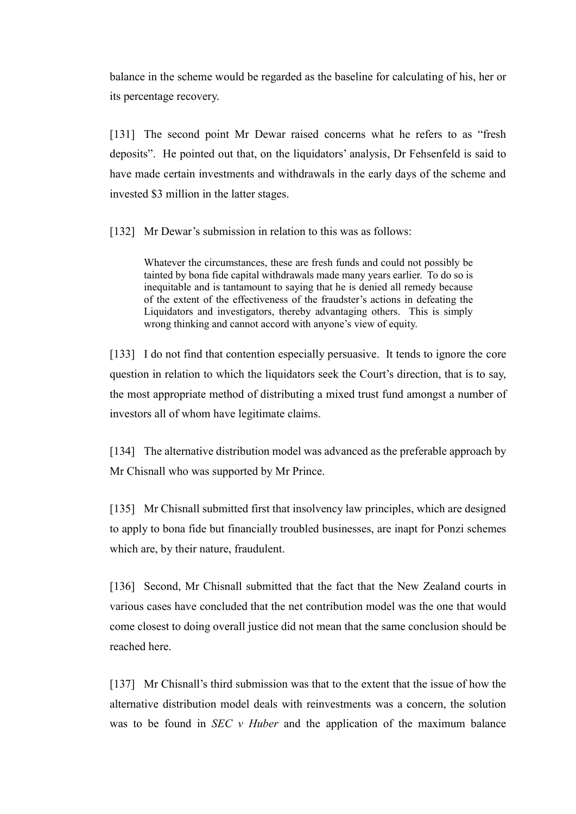balance in the scheme would be regarded as the baseline for calculating of his, her or its percentage recovery.

[131] The second point Mr Dewar raised concerns what he refers to as "fresh deposits". He pointed out that, on the liquidators' analysis, Dr Fehsenfeld is said to have made certain investments and withdrawals in the early days of the scheme and invested \$3 million in the latter stages.

[132] Mr Dewar's submission in relation to this was as follows:

Whatever the circumstances, these are fresh funds and could not possibly be tainted by bona fide capital withdrawals made many years earlier. To do so is inequitable and is tantamount to saying that he is denied all remedy because of the extent of the effectiveness of the fraudster's actions in defeating the Liquidators and investigators, thereby advantaging others. This is simply wrong thinking and cannot accord with anyone's view of equity.

[133] I do not find that contention especially persuasive. It tends to ignore the core question in relation to which the liquidators seek the Court's direction, that is to say, the most appropriate method of distributing a mixed trust fund amongst a number of investors all of whom have legitimate claims.

[134] The alternative distribution model was advanced as the preferable approach by Mr Chisnall who was supported by Mr Prince.

[135] Mr Chisnall submitted first that insolvency law principles, which are designed to apply to bona fide but financially troubled businesses, are inapt for Ponzi schemes which are, by their nature, fraudulent.

[136] Second, Mr Chisnall submitted that the fact that the New Zealand courts in various cases have concluded that the net contribution model was the one that would come closest to doing overall justice did not mean that the same conclusion should be reached here.

[137] Mr Chisnall's third submission was that to the extent that the issue of how the alternative distribution model deals with reinvestments was a concern, the solution was to be found in *SEC v Huber* and the application of the maximum balance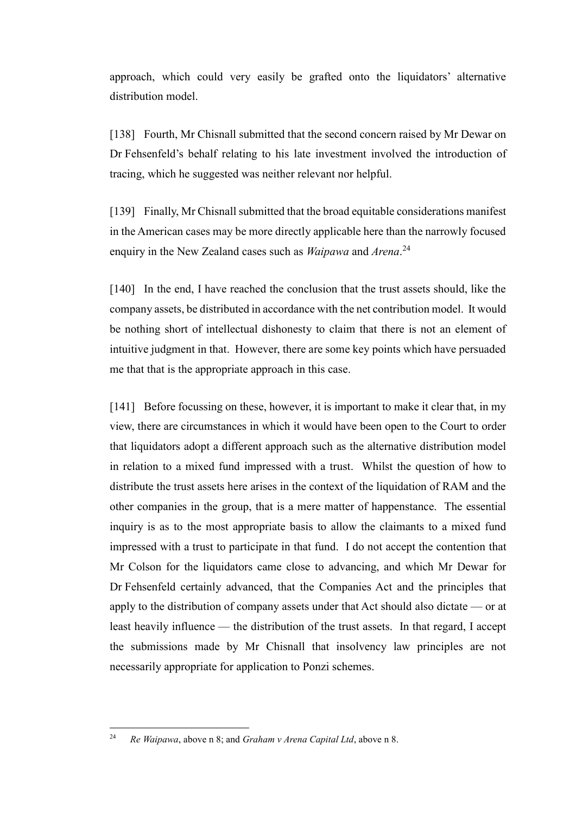approach, which could very easily be grafted onto the liquidators' alternative distribution model.

[138] Fourth, Mr Chisnall submitted that the second concern raised by Mr Dewar on Dr Fehsenfeld's behalf relating to his late investment involved the introduction of tracing, which he suggested was neither relevant nor helpful.

[139] Finally, Mr Chisnall submitted that the broad equitable considerations manifest in the American cases may be more directly applicable here than the narrowly focused enquiry in the New Zealand cases such as *Waipawa* and *Arena*. 24

[140] In the end, I have reached the conclusion that the trust assets should, like the company assets, be distributed in accordance with the net contribution model. It would be nothing short of intellectual dishonesty to claim that there is not an element of intuitive judgment in that. However, there are some key points which have persuaded me that that is the appropriate approach in this case.

[141] Before focussing on these, however, it is important to make it clear that, in my view, there are circumstances in which it would have been open to the Court to order that liquidators adopt a different approach such as the alternative distribution model in relation to a mixed fund impressed with a trust. Whilst the question of how to distribute the trust assets here arises in the context of the liquidation of RAM and the other companies in the group, that is a mere matter of happenstance. The essential inquiry is as to the most appropriate basis to allow the claimants to a mixed fund impressed with a trust to participate in that fund. I do not accept the contention that Mr Colson for the liquidators came close to advancing, and which Mr Dewar for Dr Fehsenfeld certainly advanced, that the Companies Act and the principles that apply to the distribution of company assets under that Act should also dictate — or at least heavily influence — the distribution of the trust assets. In that regard, I accept the submissions made by Mr Chisnall that insolvency law principles are not necessarily appropriate for application to Ponzi schemes.

<sup>24</sup> *Re Waipawa*, above n 8; and *Graham v Arena Capital Ltd*, above [n 8.](#page-15-2)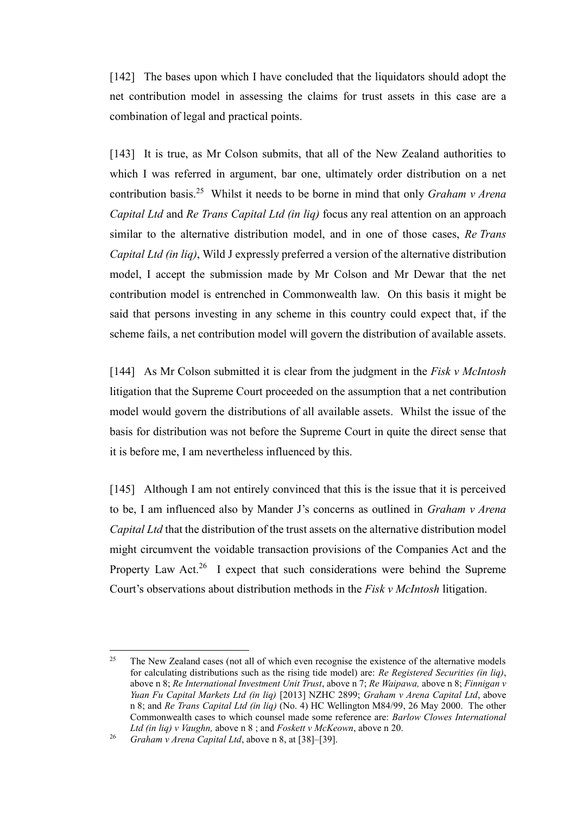[142] The bases upon which I have concluded that the liquidators should adopt the net contribution model in assessing the claims for trust assets in this case are a combination of legal and practical points.

[143] It is true, as Mr Colson submits, that all of the New Zealand authorities to which I was referred in argument, bar one, ultimately order distribution on a net contribution basis.<sup>25</sup> Whilst it needs to be borne in mind that only *Graham v Arena Capital Ltd* and *Re Trans Capital Ltd (in liq)* focus any real attention on an approach similar to the alternative distribution model, and in one of those cases, *Re Trans Capital Ltd (in liq)*, Wild J expressly preferred a version of the alternative distribution model, I accept the submission made by Mr Colson and Mr Dewar that the net contribution model is entrenched in Commonwealth law. On this basis it might be said that persons investing in any scheme in this country could expect that, if the scheme fails, a net contribution model will govern the distribution of available assets.

[144] As Mr Colson submitted it is clear from the judgment in the *Fisk v McIntosh* litigation that the Supreme Court proceeded on the assumption that a net contribution model would govern the distributions of all available assets. Whilst the issue of the basis for distribution was not before the Supreme Court in quite the direct sense that it is before me, I am nevertheless influenced by this.

[145] Although I am not entirely convinced that this is the issue that it is perceived to be, I am influenced also by Mander J's concerns as outlined in *Graham v Arena Capital Ltd* that the distribution of the trust assets on the alternative distribution model might circumvent the voidable transaction provisions of the Companies Act and the Property Law Act.<sup>26</sup> I expect that such considerations were behind the Supreme Court's observations about distribution methods in the *Fisk v McIntosh* litigation.

 $25$  The New Zealand cases (not all of which even recognise the existence of the alternative models for calculating distributions such as the rising tide model) are: *Re Registered Securities (in liq)*, above n [8;](#page-15-2) *Re International Investment Unit Trust*, above n [7;](#page-14-3) *Re Waipawa,* above [n 8;](#page-15-2) *Finnigan v Yuan Fu Capital Markets Ltd (in liq)* [2013] NZHC 2899; *Graham v Arena Capital Ltd*, above n [8;](#page-15-2) and *Re Trans Capital Ltd (in liq)* (No. 4) HC Wellington M84/99, 26 May 2000. The other Commonwealth cases to which counsel made some reference are: *Barlow Clowes International Ltd (in liq) v Vaughn,* above n [8](#page-15-2) ; and *Foskett v McKeown*, above n [20.](#page-27-0) 

<sup>26</sup> *Graham v Arena Capital Ltd*, above [n 8,](#page-15-2) at [38]–[39].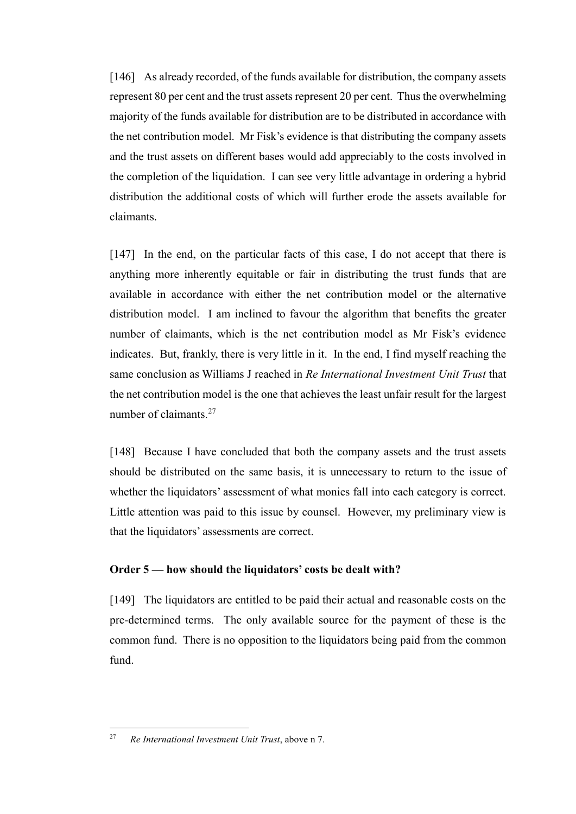[146] As already recorded, of the funds available for distribution, the company assets represent 80 per cent and the trust assets represent 20 per cent. Thus the overwhelming majority of the funds available for distribution are to be distributed in accordance with the net contribution model. Mr Fisk's evidence is that distributing the company assets and the trust assets on different bases would add appreciably to the costs involved in the completion of the liquidation. I can see very little advantage in ordering a hybrid distribution the additional costs of which will further erode the assets available for claimants.

[147] In the end, on the particular facts of this case, I do not accept that there is anything more inherently equitable or fair in distributing the trust funds that are available in accordance with either the net contribution model or the alternative distribution model. I am inclined to favour the algorithm that benefits the greater number of claimants, which is the net contribution model as Mr Fisk's evidence indicates. But, frankly, there is very little in it. In the end, I find myself reaching the same conclusion as Williams J reached in *Re International Investment Unit Trust* that the net contribution model is the one that achieves the least unfair result for the largest number of claimants.<sup>27</sup>

[148] Because I have concluded that both the company assets and the trust assets should be distributed on the same basis, it is unnecessary to return to the issue of whether the liquidators' assessment of what monies fall into each category is correct. Little attention was paid to this issue by counsel. However, my preliminary view is that the liquidators' assessments are correct.

## <span id="page-32-0"></span>**Order 5 — how should the liquidators' costs be dealt with?**

[149] The liquidators are entitled to be paid their actual and reasonable costs on the pre-determined terms. The only available source for the payment of these is the common fund. There is no opposition to the liquidators being paid from the common fund.

<sup>27</sup> *Re International Investment Unit Trust*, above n [7.](#page-14-3)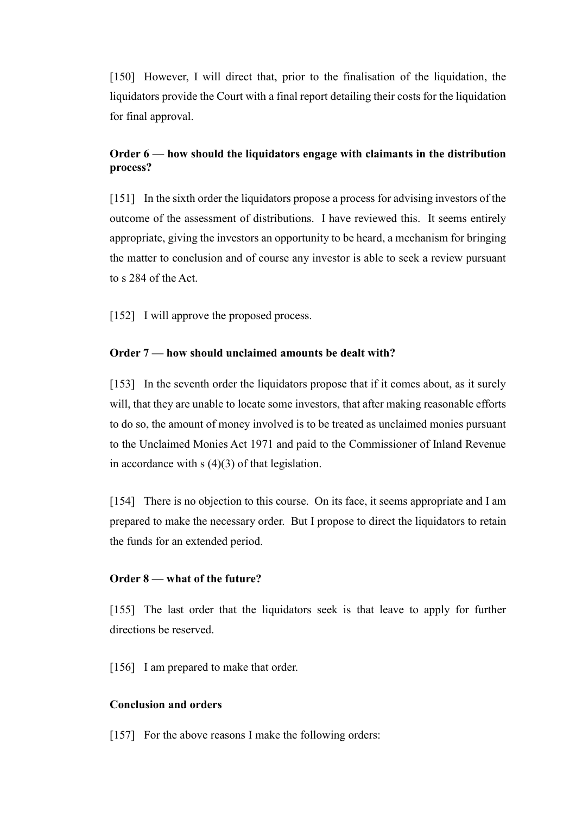[150] However, I will direct that, prior to the finalisation of the liquidation, the liquidators provide the Court with a final report detailing their costs for the liquidation for final approval.

# <span id="page-33-0"></span>**Order 6 — how should the liquidators engage with claimants in the distribution process?**

[151] In the sixth order the liquidators propose a process for advising investors of the outcome of the assessment of distributions. I have reviewed this. It seems entirely appropriate, giving the investors an opportunity to be heard, a mechanism for bringing the matter to conclusion and of course any investor is able to seek a review pursuant to s 284 of the Act.

[152] I will approve the proposed process.

## <span id="page-33-1"></span>**Order 7 — how should unclaimed amounts be dealt with?**

[153] In the seventh order the liquidators propose that if it comes about, as it surely will, that they are unable to locate some investors, that after making reasonable efforts to do so, the amount of money involved is to be treated as unclaimed monies pursuant to the Unclaimed Monies Act 1971 and paid to the Commissioner of Inland Revenue in accordance with  $s(4)(3)$  of that legislation.

[154] There is no objection to this course. On its face, it seems appropriate and I am prepared to make the necessary order. But I propose to direct the liquidators to retain the funds for an extended period.

## <span id="page-33-2"></span>**Order 8 — what of the future?**

[155] The last order that the liquidators seek is that leave to apply for further directions be reserved.

[156] I am prepared to make that order.

## <span id="page-33-3"></span>**Conclusion and orders**

[157] For the above reasons I make the following orders: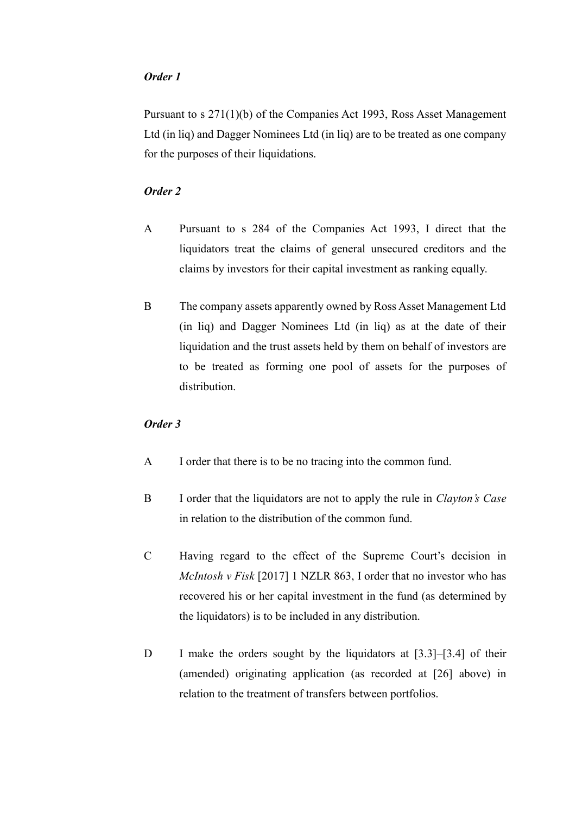## *Order 1*

Pursuant to s 271(1)(b) of the Companies Act 1993, Ross Asset Management Ltd (in liq) and Dagger Nominees Ltd (in liq) are to be treated as one company for the purposes of their liquidations.

## *Order 2*

- A Pursuant to s 284 of the Companies Act 1993, I direct that the liquidators treat the claims of general unsecured creditors and the claims by investors for their capital investment as ranking equally.
- B The company assets apparently owned by Ross Asset Management Ltd (in liq) and Dagger Nominees Ltd (in liq) as at the date of their liquidation and the trust assets held by them on behalf of investors are to be treated as forming one pool of assets for the purposes of distribution.

#### *Order 3*

- A I order that there is to be no tracing into the common fund.
- B I order that the liquidators are not to apply the rule in *Clayton's Case* in relation to the distribution of the common fund.
- C Having regard to the effect of the Supreme Court's decision in *McIntosh v Fisk* [2017] 1 NZLR 863, I order that no investor who has recovered his or her capital investment in the fund (as determined by the liquidators) is to be included in any distribution.
- D I make the orders sought by the liquidators at [3.3]–[3.4] of their (amended) originating application (as recorded at [26] above) in relation to the treatment of transfers between portfolios.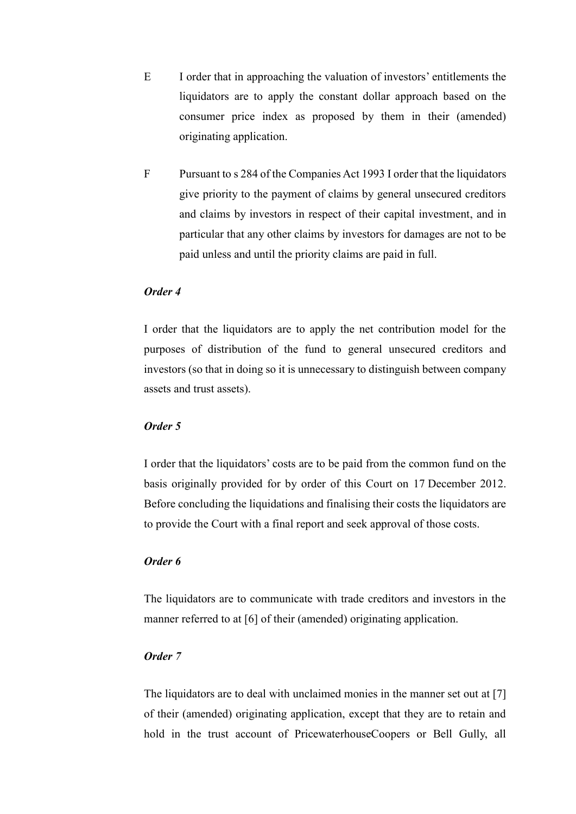- E I order that in approaching the valuation of investors' entitlements the liquidators are to apply the constant dollar approach based on the consumer price index as proposed by them in their (amended) originating application.
- F Pursuant to s 284 of the Companies Act 1993 I order that the liquidators give priority to the payment of claims by general unsecured creditors and claims by investors in respect of their capital investment, and in particular that any other claims by investors for damages are not to be paid unless and until the priority claims are paid in full.

## *Order 4*

I order that the liquidators are to apply the net contribution model for the purposes of distribution of the fund to general unsecured creditors and investors (so that in doing so it is unnecessary to distinguish between company assets and trust assets).

#### *Order 5*

I order that the liquidators' costs are to be paid from the common fund on the basis originally provided for by order of this Court on 17 December 2012. Before concluding the liquidations and finalising their costs the liquidators are to provide the Court with a final report and seek approval of those costs.

#### *Order 6*

The liquidators are to communicate with trade creditors and investors in the manner referred to at [6] of their (amended) originating application.

## *Order 7*

The liquidators are to deal with unclaimed monies in the manner set out at [7] of their (amended) originating application, except that they are to retain and hold in the trust account of PricewaterhouseCoopers or Bell Gully, all